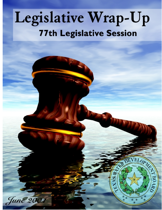# Legislative Wrap-Up **77th Legislative Session**

ELOPMENT

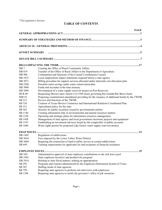#### **TABLE OF CONTENTS**

|                       | <b>PAGE</b>                                                                                   |
|-----------------------|-----------------------------------------------------------------------------------------------|
|                       |                                                                                               |
|                       |                                                                                               |
|                       |                                                                                               |
| <b>SUNSET SUMMARY</b> |                                                                                               |
|                       |                                                                                               |
|                       |                                                                                               |
| HB <sub>7</sub>       | Creating the Office of Rural Community Affairs                                                |
| HB 819                | Transfer of the Office of Rural Affairs to the Department of Agriculture                      |
| HB 906                | Continuation and functions of the Coastal Coordination Council                                |
| HB 1872               | Local employment impact statements required before a state agency                             |
| HB 2071               | Billing procedure for support services allocated under statewide cost allocation plan         |
| HB 2588               | Potential water savings under water conservation plan                                         |
| HB 3088               | Funds and accounts in the state treasury                                                      |
| HB 3096               | Development of a water supply reservoir project at Post Reservoir                             |
| <b>HCR 88</b>         | Requesting Mexico meet Article 4 of 1944 treaty governing Rio Grande/Rio Bravo basin          |
| <b>HJR 81</b>         | Proposing constitutional amendment providing for the issuance of additional bonds by the TWDB |
| SB 312                | Review and functions of the TWDB                                                              |
| SB 326                | Creation of Texas-Mexico Commerce and International Relations Coordinated Plan                |
| SB 331                | Agricultural policy for the state                                                             |
| SB 565                | Security for public securities issued by governmental entities                                |
| SB 1146               | Creating information link of environmental and natural resources matters                      |
| SB 1230               | Operating and strategic plans for information resources management                            |
| SB 1458               | Management of state agency and local government electronic projects and equipment             |
| SB 1547               | Establishing an investment advisory board by the comptroller of public accounts               |
| SB 1600               | Water rights permit for proposed Lake Eastex water supply reservoir project                   |
|                       |                                                                                               |
|                       | .23                                                                                           |
| HB 1445               | Regulation of subdivisions                                                                    |
| HB 3034               | Fees imposed by the Lower Valley Water District                                               |
| HB 3604               | Requiring the connection of land to utility service in certain subdivisions                   |
| SB 649                | Training requirements for applicants for and recipients of financial assistance               |
|                       |                                                                                               |
| HB 569                | Administrative approval of state employee contributions to the sick leave pool                |
| HB 2492               | State employee incentive and productivity program                                             |
| HB 2914               | Relating to state fiscal matters; making an appropriation                                     |
| SB 292                | Programs and systems administered by the Employees Retirement System of Texas                 |
| SB 587                | Staffing needs of state agencies                                                              |
| SB 799                | Requiring state agencies to perform exit interviews with employees                            |
| SB 1396               | Requiring state agencies to notify the governor's office of job vacancies                     |
|                       |                                                                                               |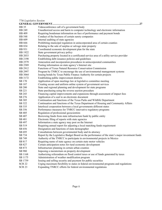| 77th Legislative Session  |                                                                                                 |  |  |
|---------------------------|-------------------------------------------------------------------------------------------------|--|--|
| GENERAL GOVERNMENT<br>.27 |                                                                                                 |  |  |
| HB 35                     | Videoconference call of a government body                                                       |  |  |
| HB 249                    | Unauthorized access and harm to computer technology and electronic information                  |  |  |
| HB 409                    | Requiring bondsman information on face of performance and payment bonds                         |  |  |
| HB 548                    | Conduct of the business of certain surety companies                                             |  |  |
| HB 609                    | Internal auditing of state agencies                                                             |  |  |
| HB 666                    | Prohibiting municipal regulation in unincorporated area of certain counties                     |  |  |
| HB 834                    | Relating to the sale of surplus or salvage state property                                       |  |  |
| HB 931                    | Coordinated economic development plan for the state                                             |  |  |
| HB 1922                   | State government privacy policy                                                                 |  |  |
| HB 2033                   | Purchasing property located in a certificated service area of a utility service provider        |  |  |
| HB 2190                   | Establishing debt issuance policies and guidelines                                              |  |  |
| HB 2579                   | Annexation and incorporation procedures in unincorporated communities                           |  |  |
| HB 2589                   | Posting information on state agency's Internet site                                             |  |  |
| HB 2912                   | Functions of Texas Natural Resource Conservation Commission                                     |  |  |
| HB 2997                   | Program by TNRCC to encourage the use of environmental management systems                       |  |  |
| HB 3064                   | Issuing bonds by Texas Public Finance Authority for certain projects                            |  |  |
| HB 3172                   | Establishing public improvement districts                                                       |  |  |
| SB 170                    | Application of open meetings law at legislative committee meeting                               |  |  |
| SB 187                    | Creating secure and uniform online system of government services                                |  |  |
| <b>SB 200</b>             | State and regional planning and development for state programs                                  |  |  |
| SB 221                    | State purchasing using the reverse auction procedure                                            |  |  |
| SB 243                    | Financing capital improvements and expansions through assessment of impact fees                 |  |  |
| SB 276                    | Application of a seal to an electronic document                                                 |  |  |
| SB 305                    | Continuation and functions of the Texas Parks and Wildlife Department                           |  |  |
| SB 322                    | Continuation and functions of the Texas Department of Housing and Community Affairs             |  |  |
| SB 335                    | Interlocal cooperation between a local governments different states                             |  |  |
| SB 356                    | Performance measures for TNRCC innovative regulatory programs                                   |  |  |
| SB 405                    | Regulation of professional geoscientists                                                        |  |  |
| SB 407                    | Borrowing funds from state infrastructure bank by public entity                                 |  |  |
| SB 481                    | Electronic filing of reports with state agencies                                                |  |  |
| SB 497                    | Information a state agency may post on the Internet                                             |  |  |
| SB 519                    | Requiring annual report for adjusting a local matching funds requirement                        |  |  |
| SB 656                    | Designation and functions of state demographer                                                  |  |  |
| SB 695                    | Consultations between governmental body and its attorney                                        |  |  |
| SB 734                    | Report by the Legislative Budget Board on the performance of the state's major investment funds |  |  |
| SB 749                    | Authority of the TNRCC to participate in environmental projects in Mexico                       |  |  |
| SB 817                    | Requiring name of state agency on certain state motor vehicles                                  |  |  |
| SB 827                    | Certain anticipation notes for rural economic development                                       |  |  |
| SB 873                    | Infrastructure planning in certain urban counties                                               |  |  |
| SB 980                    | Imposing a moratorium on property development                                                   |  |  |
| SB 1168                   | Authorizing referendum on flood control taxes or use of funds generated by taxes                |  |  |
| SB 1175                   | Administration of weather modification program                                                  |  |  |
| SB 1759                   | Issuing and selling security and payment for public securities                                  |  |  |
| <b>SCR 22</b>             | Urging maximum flexibility to states in federal environmental programs and regulations          |  |  |

SCR 23 Expanding TNRCC efforts for federal environmental regulations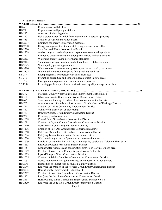| 77th Legislative Session |                                                                                                               |
|--------------------------|---------------------------------------------------------------------------------------------------------------|
|                          | .39                                                                                                           |
| HB 66                    | Regulation of well drillers                                                                                   |
| HB 71                    | Regulation of well pump installers                                                                            |
| HB 217                   | Adoption of plumbing codes                                                                                    |
| HB 247                   | Using stored water for wildlife management on a person's property                                             |
| HB 453                   | Creation of Agriculture Policy Board                                                                          |
| HB 2277                  | Contracts for energy conservation measures                                                                    |
| HB 2278                  | Energy management center and state energy conservation office                                                 |
| HB 2310                  | State Soil and Water Conservation Board                                                                       |
| HB 2379                  | Authorizing certain development corporations to undertake projects                                            |
| HB 2401                  | Promoting water conservation among certain state and local entities                                           |
| HB 2403                  | Water and energy saving performance standards                                                                 |
| HB 2404                  | Submetering of apartments, manufactured home rental communities                                               |
| HB 3023                  | Water quality permit applications                                                                             |
| HB 3286                  | Water conservation measures by state agencies and local governments                                           |
| HB 3355                  | Water quality management plans for agricultural facilities                                                    |
| SB 289                   | Exempting small hydroelectric facilities from fees                                                            |
|                          |                                                                                                               |
| SB 716                   | Promoting agriculture and economic development in rural areas                                                 |
| SB 936                   | Floodplain management and flood insurance penalties                                                           |
| SB 1339                  | Requiring poultry operations to maintain water quality management plans                                       |
|                          |                                                                                                               |
| HB 372                   | Maverick County Water Control and Improvement District No. 1                                                  |
| HB 561                   | Glasscock County Underground Water Conservation District                                                      |
| HB 675                   | Selection and training of certain officers of certain water districts                                         |
| HB 702                   | Administration of bonds and instruments of indebtedness of Drainage Districts                                 |
| HB 741                   | Creation of Aldine Community Improvement District                                                             |
| HB 742                   | Validity of a district act or proceeding                                                                      |
| HB 787                   | Brewster County Groundwater Conservation District                                                             |
| HB 924                   | Requiring grant of easement                                                                                   |
| HB 1038                  | <b>Coastal Bend Groundwater Conservation District</b>                                                         |
| HB 1081                  | Creation of Fayette County Groundwater Conservation District                                                  |
| HB 1110                  | North Harris County Regional Water Authority                                                                  |
| HB 1136                  | Creation of Post Oak Groundwater Conservation District                                                        |
| HB 1258                  | Ratifying Middle Pecos Groundwater Conservation District                                                      |
| HB 1274                  | Ratifying Texana Groundwater Conservation District                                                            |
| HB 1504                  | Well permitting process of groundwater conservation districts                                                 |
| HB 1629                  | Provision of water by the LCRA to a municipality outside the Colorado River basin                             |
| HB 1663                  | East Cedar Creek Fresh Water Supply District                                                                  |
| HB 1784                  | Groundwater resources and conservation districts in Carrizo-Wilcox area                                       |
| HB 1842                  |                                                                                                               |
| HB 1909                  | Creation of West Harris County Regional Water Authority                                                       |
|                          | Lipan-Kickapoo Water Conservation District<br>Creation of Trinity Glen Rose Groundwater Conservation District |
| HB 2005                  |                                                                                                               |
| HB 2032                  | Notice requirements for joint meetings of the boards of water districts                                       |
| HB 2045                  | Disposition of impact fees by municipal utility districts                                                     |
| HB 2046                  | Ratifying the creation of the Refugio Groundwater Conservation District                                       |
| HB 2295                  | Harris County Improvement District No. 1                                                                      |
| HB 2362                  | Creation of Lone Star Groundwater Conservation District                                                       |
| HB 2432                  | Ratifying the Lost Pines Groundwater Conservation District                                                    |
| HB 2491                  | Harris County Water Control and Improvement District No. 84                                                   |
| HB 2529                  | Ratifying the Lone Wolf Groundwater conservation District                                                     |
|                          | Page iii                                                                                                      |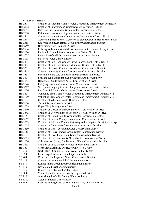| 77th Legislative Session |                                                                             |  |  |
|--------------------------|-----------------------------------------------------------------------------|--|--|
| HB 2571                  | Creation of Angelina County Water Control and Improvement District No. 4    |  |  |
| HB 2572                  | Creation of Pineywoods Groundwater Conservation District                    |  |  |
| HB 2643                  | Ratifying the Crossroads Groundwater Conservation District                  |  |  |
| HB 2690                  | Enforcement measures of groundwater conservation districts                  |  |  |
| HB 2761                  | Conversion to Kaufman County Levee Improvement District No. 4               |  |  |
| HB 2847                  | Authorizing Brazos River Authority to groundwater in Brazos River Basin     |  |  |
| HB 2855                  | Ratifying Southeast Trinity Groundwater Conservation District               |  |  |
| HB 2959                  | Brookshire-Katy Drainage District                                           |  |  |
| HB 2994                  | Relating to the authority of districts to enter into contracts to pay taxes |  |  |
| HB 3024                  | Panhandle Ground Water Conservation District No. 3                          |  |  |
| HB 3037                  | Regulation of wells by groundwater conservation districts                   |  |  |
| HB 3095                  | Salt Fork Water Quality District                                            |  |  |
| HB 3194                  | Creation of Fort Bend County Levee Improvement District No. 16              |  |  |
| HB 3195                  | Creation of Fort Bend County Municipal Utility District No. 134             |  |  |
| HB 3231                  | Creation of DeWitt County Groundwater Conservation District                 |  |  |
| HB 3243                  | Creation of Kinney County Groundwater Conservation District                 |  |  |
| HB 3357                  | Distribution and sale of electric energy by river authorities               |  |  |
| HB 3404                  | Fees and regulations imposed by Edwards Aquifer Authority                   |  |  |
| HB 3543                  | Headwaters Underground Water Conservation District                          |  |  |
| HB 3544                  | Ratifying Cow Creek Groundwater Conservation District                       |  |  |
| HB 3587                  | Well permitting requirements for groundwater conservation districts         |  |  |
| HB 3626                  | Ratifying Tri-County Groundwater Conservation District                      |  |  |
| HB 3628                  | Validating Hays County Water Control and Improvement District No. 1         |  |  |
| HB 3629                  | Validating Hays County Water Control and Improvement District No. 2         |  |  |
| HB 3635                  | Creation of Wharton County Drainage District                                |  |  |
| HB 3636                  | <b>Tarrant Regional Water District</b>                                      |  |  |
| HB 3639                  | <b>Upper Kirby Management District</b>                                      |  |  |
| HB 3640                  | Creation of Coastal Plains Groundwater Conservation District                |  |  |
| HB 3642                  | Creation of Lower Seymour Groundwater Conservation District                 |  |  |
| HB 3651                  | Creation of Goliad County Groundwater Conservation District                 |  |  |
| HB 3652                  | Creation of Lavaca County Groundwater Conservation District                 |  |  |
| HB 3653                  | Creation of Jefferson County Waterway and Navigation District and merger    |  |  |
| HB 3655                  | Creation of Bluebonnet Groundwater Conservation District                    |  |  |
| HB 3659                  | Creation of Wes-Tex Groundwater Conservation District                       |  |  |
| HB 3665                  | Creation of Cross Timbers Groundwater Conservation District                 |  |  |
| HB 3674                  | Creation of Clear Fork Groundwater Conservation District                    |  |  |
| HB 3675                  | Creation of Brazoria County Groundwater Conservation District               |  |  |
| HB 3676                  | Collingsworth County Underground Water Conservation District                |  |  |
| HB 3693                  | Creation of Lake Granbury Water Improvement District                        |  |  |
| HB 3698                  | Clear Creek Drainage District of Galveston County                           |  |  |
| SB 270                   | North Harris County Regional Water Authority fees                           |  |  |
| SB 324                   | Fees charged for underground injection wells                                |  |  |
| SB 404                   | Clearwater Underground Water Conservation District                          |  |  |
| SB 417                   | Creation of certain municipal development districts                         |  |  |
| SB 611                   | Rolling Plains Groundwater Conservation District                            |  |  |
| SB 670                   | Navigation district or port authority                                       |  |  |
| SB 835                   | <b>Upper Trinity Regional Water District</b>                                |  |  |
| SB 884                   | Voter eligibility in an election by irrigation district                     |  |  |
| SB 926                   | Abolishing the Collin County Water Authority                                |  |  |
| SB 1207                  | <b>Acton Municipal Utility District</b>                                     |  |  |
| SB 1444                  | Relating to the general powers and authority of water districts             |  |  |
|                          |                                                                             |  |  |

Page iv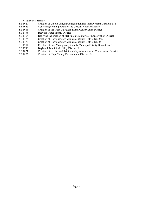- Creation of Cibolo Canyon Conservation and Improvement District No. 1
- SB 1646 Conferring certain powers on the Coastal Water Authority
- SB 1686 Creation of the West Galveston Island Conservation District
- SB 1758 Beeville Water Supply District
- SB 1764 Ratifying the creation of McMullen Groundwater Conservation District
- SB 1775 Creation of Harris County Municipal Utility District No. 386
- SB 1776 Creation of Harris County Municipal Utility District No. 387
- SB 1784 Creation of East Montgomery County Municipal Utility District No. 3
- SB 1796 Baybrook Municipal Utility District No. 1<br>SB 1821 Creation of Neches and Trinity Valleys Gr
- SB 1821 Creation of Neches and Trinity Valleys Groundwater Conservation District<br>SB 1823 Creation of Hays County Development District No. 1
- Creation of Hays County Development District No. 1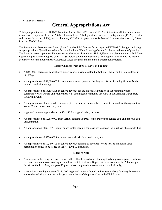## **General Appropriations Act**

Total appropriations for the 2002-03 biennium for the State of Texas total \$113.8 billion from all fund sources, an increase of 11.6 percent from the 2000-01 biennial level. The highest increases were in Regulatory (45.9%), Health and Human Services (17.1%), and the Judiciary (12.3%). Appropriations for Natural Resources increased by 2.0% from the 2000-01 level.

The Texas Water Development Board (Board) received full funding for its requested FY2002-03 budget, including an appropriation of \$9 million to help fund the Regional Water Planning Groups for the second round of planning. The Board's current operational budget was funded from all funds at \$89,832,739 for the biennium with a Full-Time Equivalent positions (FTEs) cap of 312.5. Sufficient general revenue funds were appropriated to fund the biennial debt service for the Economically Distressed Areas Program and the State Participation Program.

#### **Major Changes from 2000-01 Level of Funding**

- A \$361,000 increase in general revenue appropriations to develop the National Hydrography Dataset layer in StratMap;
- An appropriation of \$9,000,000 in general revenue for grants to the Regional Water Planning Groups for the second round of planning;
- An appropriation of \$8,196,208 in general revenue for the state match portion of the community/noncommunity water system and economically disadvantaged community accounts in the Drinking Water State Revolving Fund;
- An appropriation of unexpended balances (\$3.9 million) in oil overcharge funds to be used for the Agricultural Water Conservation Loan program;
- A general revenue appropriation of \$38,355 for targeted salary increases;
- An appropriation of \$2,370,000 from various funding sources to integrate water-related data and improve data dissemination;
- An appropriation of \$214,703 out of appropriated receipts for lease payments on the purchase of a new drilling rig;
- An appropriation of \$320,000 for ground water district loan assistance; and
- An appropriation of \$2,980,105 in general revenue funding to pay debt service for \$35 million in state participation bonds to be issued in the FY 2002-03 biennium.

#### **Riders of Note**

- A new rider authorizing the Board to use \$200,000 in Research and Planning funds to provide grant assistance for flood protection costs contingent on a local match of at least 10 percent for areas which the Albuquerque District of the U.S. Army Corps of Engineers has completed a reconnaissance level of study;
- A new rider directing the use of \$275,000 in general revenue (added to the agency's base funding) for research and studies relating to aquifer recharge characteristics of the playa lakes in the High Plains;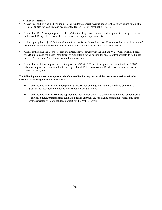- A new rider authorizing a \$1 million zero-interest loan (general revenue added to the agency's base funding) to El Paso Utilities for planning and design of the Hueco Bolson Desalination Project;
- A rider for SB312 that appropriates \$1,868,274 out of the general revenue fund for grants to local governments in the North Bosque River watershed for wastewater capital improvements;
- A rider appropriating \$520,000 out of funds from the Texas Water Resources Finance Authority for loans out of the Rural Community Water and Wastewater Loan Program and for administrative expenses;
- A rider authorizing the Board to enter into interagency contracts with the Soil and Water Conservation Board for \$15 million and the Texas Department of Agriculture for \$1 million for brush control projects, to be funded through Agricultural Water Conservation bond proceeds;
- A rider for Debt Service payments that appropriates \$2,945,306 out of the general revenue fund in FY2003 for debt service payments associated with the Agricultural Water Conservation Bond proceeds used for brush control projects; and

#### **The following riders are contingent on the Comptroller finding that sufficient revenue is estimated to be available from the general revenue fund:**

- A contingency rider for SB2 appropriates \$350,000 out of the general revenue fund and one FTE for groundwater availability modeling and instream flow data work.
- A contingency rider for HB3096 appropriates \$1.7 million out of the general revenue fund for conducting feasibility studies, preparing and evaluating design alternatives, conducting permitting studies, and other costs associated with project development for the Post Reservoir.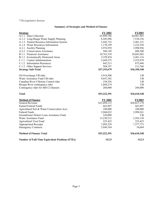#### **Summary of Strategies and Method of Finance**

| <b>Strategy</b>                                        | <b>FY 2002</b> | <b>FY2003</b> |
|--------------------------------------------------------|----------------|---------------|
| A.1.1. Data Collection                                 | \$3,890,786    | \$4,061,965   |
| A.1.2. Long-Range Water Supply Planning                | 8,205,996      | 7,538,336     |
| A.1.3. Natural Resource Information System             | 2,442,732      | 2,481,121     |
| A.1.4. Water Resources Information                     | 1,170,199      | 1,222,538     |
| A.2.1. Facility Planning                               | 3,976,959      | 3,990,956     |
| A.2.2. Conservation Assistance                         | 588,149        | 608,500       |
| B.1.1. Financial Assistance                            | 10,763,339     | 10,043,482    |
| B.1.2. Economically Distressed Areas                   | 2,359,834      | 2,461,116     |
| C.1.1. Central Administration                          | 2,449,275      | 2,552,878     |
| C.1.2. Information Resources                           | 842,213        | 875,696       |
| C.1.3. Other Support Services                          | 504,197        | 513,760       |
| <b>Strategy Sub-Total</b>                              | \$37,193,679   | \$36,350,348  |
| Oil Overcharge UB rider                                | 3,914,500      | UB            |
| Water Assistance Fund UB rider                         | 9,647,382      | UB            |
| Canadian River Chlorine Control rider                  | 338,556        | UB            |
| Bosque River contingency rider                         | 1,868,274      | UB            |
| Contingency rider for SB312 (Sunset)                   | 260,000        | 260,000       |
| <b>Total</b>                                           | \$53,222,391   | \$36,610,348  |
| <b>Method of Finance</b>                               | <b>FY 2002</b> | <b>FY2003</b> |
| General Revenue                                        | \$23,694,112   | \$20,627,178  |
| <b>Earned Federal Funds</b>                            | 663,897        | 663,897       |
| Agricultural Soil & Water Conservation Acct.           | 100,000        | 100,000       |
| <b>Federal Funds</b>                                   | 3,944,032      | 3,998,261     |
| Groundwater District Loan Assistance Fund              | 320,000        | UB            |
| Water Assistance Fund                                  | 13,230,512     | 3,583,130     |
| <b>Agricultural Trust Fund</b>                         | 225,425        | 225,425       |
| <b>Appropriated Receipts</b>                           | 7,095,229      | 7,377,773     |
| <b>Interagency Contracts</b>                           | 3,949,184      | 34,684        |
| <b>Method of Finance Total</b>                         | \$53,222,391   | \$36,610,348  |
| <b>Number of Full-Time Equivalent Positions (FTEs)</b> | 312.5          | 312.5         |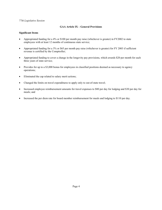#### **GAA Article IX – General Provisions**

#### **Significant Items**

- Appropriated funding for a 4% or \$100 per month pay raise (whichever is greater) in FY2002 to state employees with at least 12 months of continuous state service;
- Appropriated funding for a 3% or \$65 per month pay raise (whichever is greater) for FY 2003 if sufficient revenue is certified by the Comptroller;
- Appropriated funding to cover a change in the longevity pay provisions, which awards \$20 per month for each three years of state service;
- Provides for up to a \$3,000 bonus for employees in classified positions deemed as necessary to agency operations;
- Eliminated the cap related to salary merit actions;
- Changed the limits on travel expenditures to apply only to out-of-state travel;
- Increased employee reimbursement amounts for travel expenses to \$80 per day for lodging and \$30 per day for meals; and
- Increased the per diem rate for board member reimbursement for meals and lodging to \$110 per day.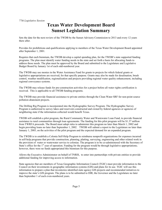## **Texas Water Development Board Sunset Legislation Summary**

Sets the date for the next review of the TWDB by the Sunset Advisory Commission to 2013 and every 12 years there after.

Provides for prohibitions and qualifications applying to members of the Texas Water Development Board appointed after September 1, 2001.

Requires that each biennium, the TWDB develop a capital spending plan, for the TWDB's state supported funding programs. The plan must identify water funding needs in the state and set forth a basis for allocating funds to address those needs. The plan must be approved by the Board and submitted to the Legislature and Legislative Budget Board by January 1st of each odd-numbered year.

The TWDB may use monies in the Water Assistance Fund for grants to projects for which federal grants or legislative appropriations are received, for that specific purpose. Grants may also be made for desalination, brush control, weather modification, regionalization and projects providing regional water quality enhancement, including regional conveyance systems.

The TWDB may release funds for pre-construction activities for a project before all water rights certification is received. This is applicable to all TWDB funding programs.

The TWDB may provide financial assistance to private entities through the Clean Water SRF for non-point source pollution abatement projects.

The Drilling Rig Program is incorporated into the Hydrographic Survey Program. The Hydrographic Survey Program is authorized to survey lakes and reservoirs constructed and owned by federal agencies or agencies of neighboring state if the information collected would benefit Texas.

TWDB will establish a pilot program, the Rural Community Water and Wastewater Loan Fund, to provide financial assistance to rural communities through loan agreements. The funding for this pilot program will be \$1.37 million from TWRFA proceeds. The Board must adopt rules to administer this program no later than March 1, 2002 and begin providing loans no later than September 1, 2002. TWDB will submit a report to the Legislature no later than January 1, 2005, on the activities of the pilot program and the expected demand for an expanded program.

The TWDB is to establish a Colonia Self-Help Program to reimburse nonprofit organizations for expenses incurred in self-help programs that provide construction, planning, platting, surveying, engineering and other related work in the provision of water or wastewater service to colonias. The program is to be co-administered with the Secretary of State's office for the 1<sup>st</sup> year of operation. Funding for the program would be through legislative appropriations; however, there were no funds appropriated this biennium for this purpose.

Allows the Executive Administrator on behalf of TNRIS, to enter into partnerships with private entities to provide additional funding for improving access to information.

State agencies that are members of Texas Geographic Information Council (TGIC) must provide information to the Council on their investments in geographic information systems (GIS) and plans for its use. TGIC will use this information to prepare a plan that inventories identified state agency GIS projects and recommended initiatives to improve the state's GIS program. The plans is to be submitted to DIR, the Governor and the Legislature no later than September 1 of each even-numbered years.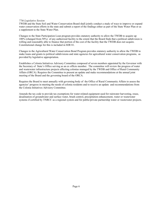TWDB and the State Soil and Water Conservation Board shall jointly conduct a study of ways to improve or expand water conservation efforts in the state and submit a report of the findings either as part of the State Water Plan or as a supplement to the State Water Plan.

Changes to the State Participation Loan program provides statutory authority to allow the TWDB to acquire up 100% (changed from 50%) of any authorized facility to the extent that the Board finds that a political subdivision is willing and reasonably able to finance that portion of the cost of the facility that the TWDB does not acquire. Constitutional change for this is included in HJR 81.

Changes to the Agricultural Water Conservation Bond Program provides statutory authority to allow the TWDB to make loans and grants to political subdivisions and state agencies for agricultural water conservation programs, as provided by legislative appropriation.

Establishes a Colonia Initiatives Advisory Committee composed of seven members appointed by the Governor with the Secretary of State's Office serving as an ex officio member. The committee will review the progress of water and wastewater infrastructure projects affecting colonias managed by the TWDB and Office of Rural Community Affairs (ORCA). Requires the Committee to present an update and make recommendations at the annual joint meeting of the Board and the governing board of the ORCA.

Requires the Board to meet annually with governing body of the Office of Rural Community Affairs to assess the agencies' progress in meeting the needs of colonia residents and to receive an update and recommendations from the Colonia Initiatives Advisory Committee.

Amends the tax code to provide tax exemptions for water-related equipment used for rainwater harvesting, reuse, desalination of groundwater and surface water, brush control, precipitation enhancement, water or wastewater systems if certified by TNRCC as a regional system and for public/private partnership water or wastewater projects.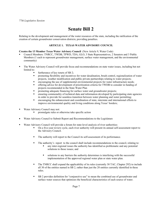## **Senate Bill 2**

Relating to the development and management of the water resources of the state, including the ratification of the creation of certain groundwater conservation districts; providing penalties.

#### **ARTICLE 1. TEXAS WATER ADVISORY COUNCIL**

#### **Creates the 13 Member Texas Water Advisory Council** (New Article 9, Water Code)

- - Council Members: TNRCC, TWDB, TPWD, TDA, GLO, 3 State Representatives, 2 Senators and 3 Public Members (1 each to represent groundwater management, surface water management, and the environmental community)
- - The Water Advisory Council will provide focus and recommendations on state water issues, including but not limited to:
	- furtherance of key tenets of SB 2;
	- promoting flexibility and incentives for water desalination, brush control, regionalization of water projects, weather modification and public private partnerships relating to water projects;
	- encouraging the use of supplemental environmental projects for water infrastructure needs;
	- offering advice for development of prioritization criteria for TWDB to consider in funding of projects recommended in the State Water Plan
	- promoting adequate financing for surface water and groundwater projects;
	- ensuring commonality of technical data and information developed by participating state agencies in order to provide for seamless transition between water planning and water permitting;
	- encouraging the enhancement and coordination of state, interstate and international efforts to improve environmental quality and living conditions along Texas' borders;
- - Water Advisory Council may not:
	- promulgate rules or otherwise take specific action
- Water Advisory Council to Submit Report and Recommendations to the Legislature
- - Water Advisory Council will provide a forum for state-level analysis of river authorities:
	- - On a five-year review cycle, each river authority will present its annual self-assessment report to the Advisory Council.
	- -The authority will report to the Council its self-assessment of its performance.
	- - The authority's report to the council shall include recommendations to the council, relating to:
		- any inter-regional issues the authority has identified as problematic and any potential solutions to those issues; and
			- solutions to any barriers the authority determines is interfering with the successful implementation of the approved regional water plan or state water plan.
	- - The TNRCC shall expand the applicability of its rules (currently 30 TAC, Chapter 292) to include all 30 of the entities named in SB 2, rather than just the 20 entities currently identified in these rules.
	- - SB 2 provides definition for "conjunctive use" to mean the combined use of groundwater and surface water sources that optimizes the beneficial characteristics of each source of water.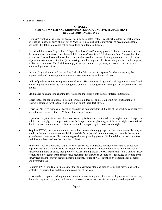#### **ARTICLE 2. SURFACE WATER AND GROUNDWATER CONJUNCTIVE MANAGEMENT; REGULATORY INCENTIVES**

- - Defines "river basin" as a river or coastal basin as designated by the TWDB, which does not include water originating in bays or arms of the Gulf of Mexico. This clarifies that movement of desalinated ocean or bay water, by definition, could not be considered an interbasin transfer.
- - Provides definitions of "agriculture," "agricultural uses" and "nursery grower." These definitions include the meanings of some terms now being deleted such as "irrigation," "stock raising" and "crop or livestock production," as well as of additional activities such as confined animal feeding operations, the cultivation of plants in containers, viticulture (wine making), and leaving land idle for certain purposes, including crop or livestock rotations. The definitions apply to wholesale nursery growers, and not to retail nursery and home and garden centers.
- - Includes "agricultural uses" (and strikes "irrigation") in the list of purposes for which water may be appropriated, and moves agricultural uses up to same category as industrial uses.
- - In list of preferences for the appropriation of water, SB 2 replaces "irrigation" with "agricultural uses," and moves "agricultural uses" up from being third on the list to being second, and equal to "industrial uses," on the list.
- -SB 2 makes no changes to existing law relating to the junior rights status of interbasin transfers.
- - Clarifies that the cancellation of a permit for inaction does not apply to a permit for construction of a reservoir designed for the storage of more than 50,000 acre-feet of water.
- - Clarifies TNRCC's responsibility, when considering permits within 200 miles of the coast, to consider bays and estuaries studies by the TPWD and other state agencies.
- - Expands exemptions from cancellation of water rights for nonuse to include water rights to meet long-term public water supply, electric generation needs, long-term water planning, or if the water right was obtained due to construction of a reservoir funded, in whole or in part, by the holder of the right.
- - Requires TWDB, in coordination with the regional water planning groups and the groundwater districts, to obtain or develop groundwater availability models for major and minor aquifers, and provide the models to groundwater conservation districts and regional water planning groups. Such modeling of major aquifers shall be completed no later than October 1, 2004.
- - Makes the TWDB's currently voluntary water use survey mandatory, in order to increase its effectiveness in projecting future water use and to recognize outstanding water conservation efforts. Failure to return survey would make an entity ineligible for TWDB funding and/or TNRCC permitting. SB 2 allows survey responses to be exempt from open records requirements, if such an exemption is requested in writing by the survey respondent. Survey requirements to not apply to use of water supplied by windmills for domestic and livestock uses.
- - Requires TWDB guidance principles for the regional water planning groups to include provisions for the protection of agriculture and the natural resources of the state.
- - Clarifies that a legislative designation of "a river or stream segment of unique ecological value" means only that a state agency or city may not finance reservoir construction in a stream segment so designated.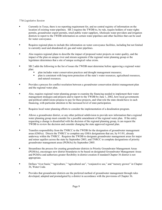- - Currently in Texas, there is no reporting requirement for, and no central registry of information on the location of existing water pipelines. SB 2 requires the TWDB to, by rule, require holders of water rights permits, groundwater export permits, retail public water suppliers, wholesale water providers and irrigation districts to report to the TWDB information on certain water pipelines and other facilities that can be used for water conveyance.
- - Requires regional plans to include this information on water conveyance facilities, including but not limited to currently used and abandoned oil, gas and water pipelines.
- - Also requires regional plans to describe the impact of proposed water projects on water quality, and the impact of the plan on unique river and stream segments if the regional water planning group or the legislature determines that a site of unique ecological value exists.
- - SB 2 adds the following to the list of issues the TWDB must determine before approving a regional water plan:
	- plan includes water conservation practices and drought management measures;
	- $\blacksquare$  plan is consistent with long-term protection of the state's water resources, agricultural resources, and natural resources.
- - Provides a process for conflict resolution between a groundwater conservation district management plan and the regional water plan.
- - Also, requires regional water planning groups to examine the financing needed to implement their water management strategies and projects and to report to the TWDB by June 1, 2002, how local governments and political subdivisions propose to pay for these projects, and what role the state should have in such financing, with particular attention to the increased level of state participation.
- -Requires local water planning efforts to consider the implementation of a desalination program.
- - Allows a groundwater district, or any other political subdivision to provide new information that a regional water planning group must consider for a possible amendment of the regional water plan. If the entity requesting a change is dissatisfied with the decision of the regional planning group, it can request the TWDB to review the decision and consider changing the state approved regional plan.
- - Transfers responsibility from the TNRCC to the TWDB for the designation of groundwater management areas (GMAs). Directs the TNRCC to complete any GMA designations that are, by 9/1/01, already underway within the TNRCC. Requires the TWDB to designate groundwater management areas for major and minor aquifers across the state by September 2003, and TNRCC to complete designations of priority groundwater management areas (PGMAs) by September 2005.
- - Streamlines the process for creating groundwater districts in Priority Groundwater Management Areas (PGMAs), encourages new district boundaries to be based on designated Groundwater Management Areas and PGMAs and authorizes greater flexibility in district creation if standard Chapter 36 district is not appropriate.
- - Defines "river basin," "agriculture," "agricultural use", "conjunctive use," and "nursery grower" in Chapter 36, Water Code.
- - Provides that groundwater districts are the preferred method of groundwater management through rules developed, adopted and promulgated by a district in accordance with the provisions of Chapter 36.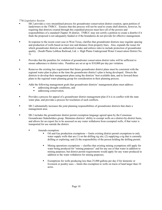- SB 2 provides a very streamlined process for groundwater conservation district creation, upon petition of landowners to the TNRCC. Ensures that this process will not be used to create shell districts, however, by requiring that districts created through this expedited process must have all of the powers and responsibilities of a standard Chapter 36 district. TNRCC may not certify a petition to create a distr8ct if it finds the proposed is not adequately funded or if the boundaries do not provide for effective management.
- - In response to the recent court case in West Texas, clarifies that groundwater districts may regulate spacing and production of wells based on tract size and distance from property lines. Also, expands the issues for which groundwater districts are authorized to make and enforce rules to include protection of groundwater quality. (South Plains LaMesa Railroad, Ltd. v. High Plains Underground Water Conservation District No. 1)
- - Provides that the penalties for violation of groundwater conservation district rules will be sufficient to ensure adherence to district rules. Penalties are set at up to \$10,000 per day per violation.
- - Removes the existing law requirement that future groundwater district plans must be consistent with the regional water plan in place at the time the groundwater district's plan is being developed. Directs the districts to develop their management plans using the districts' best available data, and to forward those plans to the regional water planning group for consideration in their planning process.
- - Adds the following management goals that groundwater districts' management plans must address:
	- addressing drought conditions, and
	- addressing conservation.
- - Provides a process for appeal of a groundwater district management plan if it is in conflict with the state water plan, and provides a process for resolution of such conflicts.
- - SB 2 substantially increases the joint planning responsibilities of groundwater districts that share a management area.
- - SB 2 includes the groundwater district permit exemption language agreed upon by the Consensus Groundwater Stakeholders group. Maintains districts' ability to exempt wells on a district-by-district basis, and allows for an export fee to be assessed on any water withdrawn from exempted wells, if that water is transported for use outside the district.
	- - Amends exemption:
		- - Oil and Gas production exemptions -- limits existing district permit exemptions to only water supply wells that are (1) on the drilling rig site; (2) supplying a rig that is currently drilling or exploring; and (3) the responsibility of the person holding the drilling permit.
		- - Mining operations exemptions -- clarifies that existing mining exemptions still apply for water being produced for "mining purposes" and for any use of that water in addition to mining purposes; but district permit requirements would apply for any water produced in addition to the water withdrawn for mining purposes;
		- - Exemptions for wells producing less than 25,000 gallons per day if for domestic or livestock or poultry uses -- limits this exemption to wells on tracts of land larger than 10 acres.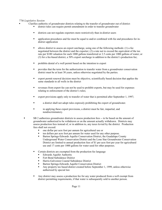- - Clarifies authority of groundwater districts relating to the transfer of groundwater out of district:
	- district rules can require permit amendment in order to transfer groundwater
	- districts can not regulate exporters more restrictively than in-district users
	- application procedures and fee must be equal to and/or combined with fee and procedures for indistrict application
	- allows district to assess an export surcharge, using one of the following methods: (1) a fee negotiated between the district and the exporter; (2) a rate not to exceed the equivalent of the tax rate per \$100 valuation for each 1000 gallons transferred or 2.5 cents per 1000 gallons of water; or (3) for a fee-based district, a 50% export surcharge in addition to the district's production fee;
	- prohibits denial of a well permit based on the intention to export
	- provides that the term for the authorization to transfer water from a groundwater conservation district must be at least 30 years, unless otherwise negotiated by the parties.
	- export permit renewal decision must be objective, scientifically based decision that applies the same standards to all wells in the district
	- revenues from export fee can not be used to prohibit exports, but may be used for expenses relating to enforcement of the district's rules;
	- export provisions apply only to transfer of water that is permitted after September 1, 1997;
	- a district shall not adopt rules expressly prohibiting the export of groundwater.
	- in applying these export provisions, a district must be fair, impartial, and nondiscriminatory.
	- - SB 2 authorizes groundwater districts to assess production fees -- to be based on the amount of groundwater authorized to be withdrawn or on the amount actually withdrawn. Districts may assess production fees instead of, or in addition to, any taxes levied by the district. Production fees shall not exceed:
		- one dollar per acre foot per annum for agricultural use or
		- ten dollars per acre foot per annum for water used for any other purpose.
		- - Barton Springs-Edwards Aquifer Conservation District, the Guadalupe County Underground Water Conservation District and the Lone Star Groundwater Conservation District are limited to annual production fees of \$1 per acre foot per year for agricultural use and 17 cents per 1000 gallons for water used for other purposes.
		- - Certain districts are exempted from the production fee language
			- -Edwards Aquifer Authority
			- -Fort Bend Subsidence District
			- -Harris-Galveston Coastal Subsidence District
			- -Barton Springs-Edwards Aquifer Conservation District
			- - Any property tax based district created before September 1, 1999, unless otherwise authorized by special law
		- - Any district may assess a production fee for any water produced from a well exempt from district permitting requirements, if that water is subsequently sold to another person.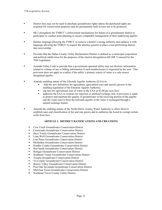- - District fees may not be used to purchase groundwater rights unless the purchased rights are acquired for conservation purposes and are permanently held in trust not to be produced.
- - SB 2 strengthens the TNRCC's enforcement mechanisms for failure of a groundwater district to participate to conduct joint planning to ensure compatible management of their underlying aquifer.
- - Deletes language allowing the TNRCC to remove a district's taxing authority and replaces it with language allowing the TNRCC to request the attorney general to place a non-performing district into receivership.
- - Provides that the Dallas County Utility Reclamation District is defined as a municipal corporation and political subdivision for the purposes of the electric deregulation bill (SB 7) enacted by the 76th Legislature.
- - Amends Utility Code to provide that a government-operated utility may not disclose information related to volume of use or billing information if such nondisclosure is requested by the user. This provision does not apply to a utility if the utility's primary source of water is a sole-source designated aquifer.
- - Amends enabling statute of the Edwards Aquifer Authority (EAA) to:
	- - Add the new definitions for agriculture, agricultural uses and nursery grower to the enabling legislation of the Edwards Aquifer Authority;
	- cap fees for agricultural uses of water in the EAA at \$2.00 per acre foot;
	- authorize the EAA to contract for injection or artificial recharge only if provision is made to protect and maintain the quality of groundwater in the receiving portion of the aquifer and the water used is from the Edwards aquifer or the water is recharged through a natural recharge feature.
- - Amends the enabling statute of the North Harris /county Water Authority to allow them to establish rates and classification of fee and rate payers and to authorize the board to exempt certain wells from fees.

#### **ARTICLE 3. DISTRICT RATIFICATIONS AND CREATIONS**

- -Cow Creek Groundwater Conservation District
- -Crossroads Groundwater Conservation District
- -Hays Trinity Groundwater Conservation District
- -Lone Wolf Groundwater Conservation District
- -Lost Pines Groundwater Conservation District
- -McMullen Groundwater Conservation District
- -Kimble County Groundwater Conservation District
- -Red Sands Groundwater Conservation District
- -Refugio Groundwater Conservation District
- -Southeast Trinity Groundwater Conservation District
- -Texana Groundwater Conservation District
- -Tri-County Groundwater Conservation District
- -Brazos Valley Groundwater Conservation District
- -Post Oak Savannah Groundwater Conservation District
- -Mid-East Texas Groundwater Conservation District
- -Northeast Travis County Utility District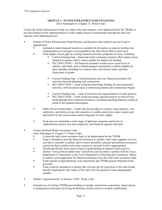#### **ARTICLE 4. WATER INFRASTRUCTURE FINANCING** (New Subchapter O, Chapter 15, Water Code)

Creates the Water Infrastructure Fund, as a fund in the state treasury, to be administered by the TWDB, to provide funding for the implementation of water supply projects recommended through the state and regional water planning process.

- - Outline of Water Infrastructure Fund Structure and Incentive that could be moved if cash is appropriated:
	- - Intended to make financial incentives available for all entities in order to facilitate the implementation of strategies recommended in the State Water Plan to meet need.
	- - Fund targets critical gaps in existing financial assistance programs in Texas, including:
		- - Current Funding Gap -- Rural and small community projects often cannot access financial assistance and/or cannot qualify for market rate lending.
		- - SB 2 SOLUTION -- All financial assistance would receive some level of subsidy, and small, rural or disadvantaged communities could be eligible for deep subsidies including low interest loan, zero interest loans, and loan forgiveness or grants.
		- - Current Funding Gap -- Current programs lack any financial assistance for activities between planning and construction.
		- - SB 2 SOLUTION -- Fund would provide bridge funding for preconstruction activities, with incentives such as deferred payments until construction begins.
		- -Current Funding Gap -- Lack of incentives for regionalization of water projects.
		- - SB 2 SOLUTION -- Fund would encourage regional projects to meet all area needs through direct financial incentives, including matching disparate timing of needs of the potential participants.
	- - Public Private Partnerships -- Funds may be provided to counties, municipalities, river authorities, and districts to provide incentives to public and private water systems and individuals for the conservation and development of water supply.
	- - Fund must accommodate a wide range of applicant categories and levels of sophistication, project size and complexity, and financial capacity and need.

#### - Creates the Rural Water Assistance Fund (New Subchapter P, Chapter 15, Water Code)

- -Creates the rural water assistance fund, to be administered by the TWDB.
- - Fund is intended to provide financial assistance to smaller, rural water suppliers at lower cost that is currently available, and to ensure the public outreach and technical assistance critical for these smaller rural water systems to succeed if cash is appropriated.
- -Would specifically assist small systems in participating in regional water projects.
- - Defines "rural political subdivision" and allows such an entity to partner with the Texas Department of Agriculture or the Texas Department of Housing and Community Affairs to submit a joint application for financial assistance from the rural water assistance fund.
- - Fund consists of appropriations, loan repayments and TWDB general obligation bond proceeds.
- - Fund would be operated in a manner that will provide for repayment of the state bonds, thereby requiring the only outlay of the state to be the general revenue appropriated initially.
- -Defines "regionalization" in Section 15.001, Water Code.
- - Expands use of existing TWDB grant funding to include construction, acquisition, improvement or enlargement of projects involving desalination, brush control or weather modification.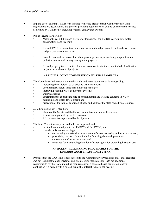- - Expand use of existing TWDB loan funding to include brush control, weather modification, regionalization, desalination, and projects providing regional water quality enhancement services as defined by TWDB rule, including regional conveyance systems.
- - Public Private Partnerships
	- - Make political subdivisions eligible for loans under the TWDB's agricultural water conservation bond program.
	- - Expand TWDB's agricultural water conservation bond program to include brush control and precipitation enhancement.
	- - Provide financial incentives for public private partnerships involving nonpoint source pollution control and estuary management projects.
	- - Expand property tax exemption for water conservation initiatives to include desalination projects or brush control projects.

#### **ARTICLE 5. JOINT COMMITTEE ON WATER RESOURCES**

- - The Committee shall conduct an interim study and make recommendations regarding:
	- increasing the efficient use of existing water resources;
	- developing sufficient long-term financing strategies;
	- improving existing water conveyance systems;
	- water marketing
	- determining the appropriate role of environmental and wildlife concerns in water permitting and water development; and
	- protection of the natural condition of beds and banks of the state-owned watercourses.
- - Joint Committee has 6 Members
	- -Chairs of the Senate and the House Committees on Natural Resources
	- -2 Senators appointed by the Lt. Governor
	- -2 Representatives appointed by the Speaker
- - The Joint Committee may call and hold hearings, and shall:
	- meet at least annually with the TNRCC and the TWDB, and
	- consider information relating to
		- encouraging the effective development of water marketing and water movement;
		- prioritizing the use of state funds for financing the development and conservation of water resources, and
			- measures for encouraging donation of water rights, for protecting instream uses.

#### **ARTICLE 6. RULEMAKING PROCEDURES FOR THE EDWARDS AQUIFER AUTHORITY (EAA)**

- Provides that the EAA is no longer subject to the Administrative Procedures and Texas Register Act but is subject to open meetings and open records requirements. Sets out additional requirements for the EAA, including requirement for a contested case hearing on a permit application if a person with a related justiciable interest requests the hearing.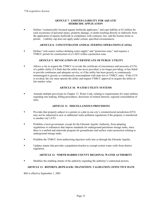#### **ARTICLE 7. LIMITED LIABILITY FOR AQUATIC HERBICIDE APPLICATION**

- Defines "commercially licensed aquatic herbicide applicator," and caps liability at \$2 million for each occurrence of personal injury, property damage, or death resulting directly or indirectly from the application of aquatic herbicide in compliance with contracts, law, and the license terms or permit. Liability cap does not apply under certain, specified circumstances.

#### **ARTICLE 8. CONCENTRATED ANIMAL FEEDING OPERATIONS (CAFOs)**

- Defines "sole-source surface drinking water supply" and "protection zone," and requires a TNRCC permit for construction of a CAFO within a protection zone.

#### **ARTICLE 9. REVOCATION OF CERTIFICATE OF PUBLIC UTILITY**

- Allows a city to request the TNRCC to revoke the certificate of convenience and necessity (CCN) of a public utility if it finds that the utility has never provided, is no longer providing, or has failed to provide continuous and adequate service, or if the utility has been grossly or continuously mismanaged or grossly or continuously noncompliant with state law or TNRCC rules. If the CCN is revoked, the city must operate the utility and request TNRCC approval to acquire the utility at fair market value.

#### **ARTICLE 10. WATER UTILITY SYSTEMS**

- Amends multiple provisions in Chapter 13, Water Code, relating to requirements for water utilities regarding rate making, billing procedures, disclosure of related interests, regional consolidation of rates.

#### **ARTICLE 11. MISCELLANEOUS PROVISIONS**

- - Provides that property subject to a permit or a plat in one city's extraterritorial jurisdiction (ETJ) may not be subjected to new or additional water pollution regulations if the property is transferred to another city's ETJ.
- - Prohibits a local government, except for the Edwards Aquifer Authority, from adopting regulations or ordinances that impose standards for underground petroleum storage tanks, since there is a unified and statewide program for groundwater and surface water protection relating to underground storage tanks.
- -Prohibits the TNRCC from authorizing injection wells into or through the Edwards Aquifer.
- - Updates statute that provides a population bracket to exempt certain water wells from district regulation.

#### **ARTICLE 12. NORTH HARRIS COUNTY REGIONAL WATER AUTHORITY**

-Modifies the enabling statute of the authority regarding the authority's contractual powers.

#### **ARTICLE 13. REPORTS, REPEALER; TRANSITION; VALIDATION; EFFECTIVE DATE**

Bill is effective September 1, 2001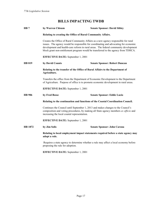## **BILLS IMPACTING TWDB**

| HB <sub>7</sub> | by Warren Chisum                                                                                                                                                                                                                                                                                                                                          | <b>Senate Sponsor: David Sibley</b>  |  |
|-----------------|-----------------------------------------------------------------------------------------------------------------------------------------------------------------------------------------------------------------------------------------------------------------------------------------------------------------------------------------------------------|--------------------------------------|--|
|                 | Relating to creating the Office of Rural Community Affairs.                                                                                                                                                                                                                                                                                               |                                      |  |
|                 | Creates the Office of Rural Community Affairs as a new agency responsible for rural<br>issues. The agency would be responsible for coordinating and advocating for economic<br>development and health-care reform in rural areas. The federal community development<br>block grant non-entitlement program would be transferred to the agency from TDHCA. |                                      |  |
|                 | <b>EFFECTIVE DATE:</b> September 1, 2001                                                                                                                                                                                                                                                                                                                  |                                      |  |
| <b>HB 819</b>   | by David Counts                                                                                                                                                                                                                                                                                                                                           | <b>Senate Sponsor: Robert Duncan</b> |  |
|                 | Relating to the transfer of the Office of Rural Affairs to the Department of<br>Agriculture.                                                                                                                                                                                                                                                              |                                      |  |
|                 | Transfers the office from the Department of Economic Development to the Department<br>of Agriculture. Purpose of office is to promote economic development in rural areas.                                                                                                                                                                                |                                      |  |
|                 | <b>EFFECTIVE DATE:</b> September 1, 2001                                                                                                                                                                                                                                                                                                                  |                                      |  |
| <b>HB</b> 906   | by Fred Bosse                                                                                                                                                                                                                                                                                                                                             | <b>Senate Sponsor: Eddie Lucio</b>   |  |
|                 | Relating to the continuation and functions of the Coastal Coordination Council.                                                                                                                                                                                                                                                                           |                                      |  |
|                 | Continues the Council until September 1, 2013 and makes changes to the Council's<br>composition and voting procedures, by making all State agency members ex officio and<br>increasing the local coastal representation.                                                                                                                                  |                                      |  |
|                 | <b>EFFECTIVE DATE:</b> September 1, 2001                                                                                                                                                                                                                                                                                                                  |                                      |  |
| <b>HB</b> 1872  | by Jim Solis                                                                                                                                                                                                                                                                                                                                              | <b>Senate Sponsor: John Carona</b>   |  |
|                 | Relating to local employment impact statements required before a state agency may<br>adopt a rule.                                                                                                                                                                                                                                                        |                                      |  |
|                 | Requires a state agency to determine whether a rule may affect a local economy before<br>proposing the rule for adoption.                                                                                                                                                                                                                                 |                                      |  |
|                 | <b>EFFECTIVE DATE:</b> September 1, 2001                                                                                                                                                                                                                                                                                                                  |                                      |  |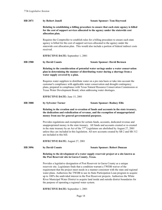| <b>HB</b> 2071 | by Robert Junell                                                                                                                                                                                                                                                                                                                                                                                           | <b>Senate Sponsor: Tom Haywood</b>                                                                                                                                                                                                                                                 |
|----------------|------------------------------------------------------------------------------------------------------------------------------------------------------------------------------------------------------------------------------------------------------------------------------------------------------------------------------------------------------------------------------------------------------------|------------------------------------------------------------------------------------------------------------------------------------------------------------------------------------------------------------------------------------------------------------------------------------|
|                | Relating to establishing a billing procedure to ensure that each state agency is billed<br>for the cost of support services allocated to the agency under the statewide cost<br>allocation plan.                                                                                                                                                                                                           |                                                                                                                                                                                                                                                                                    |
|                | Requires the Comptroller to establish rules for a billing procedure to ensure each state<br>agency is billed for the cost of support services allocated to the agency under the<br>received.                                                                                                                                                                                                               | statewide cost allocation plan. This would also include a portion of federal indirect costs                                                                                                                                                                                        |
|                | EFFECTIVE DATE: September 1, 2001                                                                                                                                                                                                                                                                                                                                                                          |                                                                                                                                                                                                                                                                                    |
| <b>HB</b> 2588 | by David Counts                                                                                                                                                                                                                                                                                                                                                                                            | <b>Senate Sponsor: David Bernsen</b>                                                                                                                                                                                                                                               |
|                | Relating to the consideration of potential water savings under a water conservation<br>plan in determining the manner of distributing water during a shortage from a<br>water supply covered by a plan.                                                                                                                                                                                                    |                                                                                                                                                                                                                                                                                    |
|                | Requires water suppliers to distribute water on a pro rata basis or take into account the<br>customer's compliance with applicable water conservation and drought contingency<br>Texas Water Development Board, when addressing water shortages.                                                                                                                                                           | plans, prepared in compliance with Texas Natural Resource Conservation Commission or                                                                                                                                                                                               |
|                | <b>EFFECTIVE DATE: June 15, 2001</b>                                                                                                                                                                                                                                                                                                                                                                       |                                                                                                                                                                                                                                                                                    |
| <b>HB</b> 3088 | by Sylvester Turner                                                                                                                                                                                                                                                                                                                                                                                        | <b>Senate Sponsor: Rodney Ellis</b>                                                                                                                                                                                                                                                |
|                | Relating to the creation and re-creation of funds and accounts in the state treasury,<br>the dedication and rededication of revenue, and the exemption of unappropriated<br>money from use for general governmental purposes.                                                                                                                                                                              |                                                                                                                                                                                                                                                                                    |
|                | Provides regulations and exemption for certain funds, accounts, dedicated revenue and<br>unappropriated money in the state treasury. All funds and accounts created or re-created<br>in the state treasury by an Act of the $77th$ Legislature are abolished by August 27, 2001<br>unless they are included in this legislation. All new accounts created by SB 2 and SB 312<br>are included in this bill. |                                                                                                                                                                                                                                                                                    |
|                | <b>EFFECTIVE DATE:</b> August 27, 2001                                                                                                                                                                                                                                                                                                                                                                     |                                                                                                                                                                                                                                                                                    |
| <b>HB</b> 3096 | by David Counts                                                                                                                                                                                                                                                                                                                                                                                            | <b>Senate Sponsor: Robert Duncan</b>                                                                                                                                                                                                                                               |
|                | Relating to the development of a water supply reservoir project at a site known as<br>the Post Reservoir site in Garza County, Texas.                                                                                                                                                                                                                                                                      |                                                                                                                                                                                                                                                                                    |
|                | Provides a legislative designation of Post Reservoir in Garza County as a unique<br>reservoir site. Legislature finds that a condition warrant a TWDB waiver of the<br>up to 100% the undivided interest in the Post Reservoir projects. Authorizes the White<br>the purpose of operating a regional water system.                                                                                         | requirement that the project meet needs in a manner consistent with the state and regional<br>water plans. Authorizes the TWDB to use its State Participation Loan program to acquire<br>River Municipal Water District to acquire land inside and outside district boundaries for |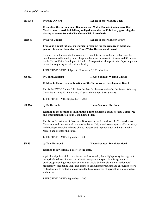| <b>HCR 88</b>                                                                                                                                                                                                                                                                                                                 | by Rene Oliveira                                                                                                                                                                                                                                                                                                                                                                                                                                                                       | <b>Senate Sponsor: Eddie Lucio</b>                                                           |  |
|-------------------------------------------------------------------------------------------------------------------------------------------------------------------------------------------------------------------------------------------------------------------------------------------------------------------------------|----------------------------------------------------------------------------------------------------------------------------------------------------------------------------------------------------------------------------------------------------------------------------------------------------------------------------------------------------------------------------------------------------------------------------------------------------------------------------------------|----------------------------------------------------------------------------------------------|--|
|                                                                                                                                                                                                                                                                                                                               | Requesting the International Boundary and Water Commission to assure that<br>Mexico meet its Article 4 delivery obligations under the 1944 treaty governing the<br>sharing of waters from the Rio Grande/ Rio Bravo basin.                                                                                                                                                                                                                                                             |                                                                                              |  |
| <b>HJR 81</b>                                                                                                                                                                                                                                                                                                                 | by David Counts<br><b>Senate Sponsor: Buster Brown</b>                                                                                                                                                                                                                                                                                                                                                                                                                                 |                                                                                              |  |
|                                                                                                                                                                                                                                                                                                                               | Proposing a constitutional amendment providing for the issuance of additional<br>general obligation bonds by the Texas Water Development Board.                                                                                                                                                                                                                                                                                                                                        |                                                                                              |  |
| Requires the submission to the voters of a constitutional amendment authorizing the<br>board to issue additional general obligation bonds in an amount not to exceed \$2 billion<br>for the Texas Water Development Fund II. Also provides changes to state's participation<br>amount in acquiring an interest in a facility. |                                                                                                                                                                                                                                                                                                                                                                                                                                                                                        |                                                                                              |  |
|                                                                                                                                                                                                                                                                                                                               | <b>EFFECTIVE DATE:</b> Subject to November 6, 2001 election                                                                                                                                                                                                                                                                                                                                                                                                                            |                                                                                              |  |
| <b>SB 312</b>                                                                                                                                                                                                                                                                                                                 | by Judith Zaffirini                                                                                                                                                                                                                                                                                                                                                                                                                                                                    | <b>House Sponsor: Warren Chisum</b>                                                          |  |
|                                                                                                                                                                                                                                                                                                                               | Relating to the review and functions of the Texas Water Development Board                                                                                                                                                                                                                                                                                                                                                                                                              |                                                                                              |  |
|                                                                                                                                                                                                                                                                                                                               | This is the TWDB Sunset Bill. Sets the date for the next review by the Sunset Advisory<br>Commission to be 2013 and every 12 years there after. See summary.<br><b>EFFECTIVE DATE:</b> September 1, 2001                                                                                                                                                                                                                                                                               |                                                                                              |  |
|                                                                                                                                                                                                                                                                                                                               |                                                                                                                                                                                                                                                                                                                                                                                                                                                                                        |                                                                                              |  |
| <b>SB 326</b>                                                                                                                                                                                                                                                                                                                 | by Eddie Lucio                                                                                                                                                                                                                                                                                                                                                                                                                                                                         | <b>House Sponsor: Jim Solis</b>                                                              |  |
|                                                                                                                                                                                                                                                                                                                               | Relating to the creation of an initiative unit to develop a Texas-Mexico Commerce<br>and International Relations Coordinated Plan.<br>The Texas Department of Economic Development will coordinate the Texas-Mexico<br>Commerce and International relations Initiative Unit, a multi-state agency effort to study<br>and develop a coordinated state plan to increase and improve trade and tourism with<br>Mexico and neighboring states.<br><b>EFFECTIVE DATE:</b> September 1, 2001 |                                                                                              |  |
|                                                                                                                                                                                                                                                                                                                               |                                                                                                                                                                                                                                                                                                                                                                                                                                                                                        |                                                                                              |  |
|                                                                                                                                                                                                                                                                                                                               |                                                                                                                                                                                                                                                                                                                                                                                                                                                                                        |                                                                                              |  |
| <b>SB</b> 331                                                                                                                                                                                                                                                                                                                 | by Tom Haywood                                                                                                                                                                                                                                                                                                                                                                                                                                                                         | <b>House Sponsor: David Swinford</b>                                                         |  |
|                                                                                                                                                                                                                                                                                                                               | Relating to agricultural policy for the state.                                                                                                                                                                                                                                                                                                                                                                                                                                         |                                                                                              |  |
|                                                                                                                                                                                                                                                                                                                               | Agricultural policy of the state is amended to include; that a high priority is assigned to<br>the agricultural use of water, provide for adequate transportation for agricultural<br>products, preventing enactment of laws that would be inconsistent with agricultural<br>by landowners to protect and conserve the basic resources of agriculture such as water,<br>soil and air.                                                                                                  | profitability, facilitating loans and grants to agricultural producers and encourage efforts |  |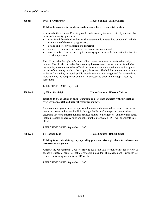#### **SB 565 by Ken Armbrister House Sponsor: Jaime Capelo**

#### **Relating to security for public securities issued by governmental entities.**

Amends the Government Code to provide that a security interest created by an issuer by means of a security agreement:

- is perfected from the time the security agreement is entered into or adopted until the termination of the security agreement;
- is valid and effective according to its terms;
- is ranked as to priority in order of the time of perfection; and
- may be enforced as provided by the security agreement or the law that authorizes the security agreement.

The bill provides the rights of a lien creditor are subordinate to a perfected security interest. The bill also provides that a security interest in real property is perfected when the security agreement or other official instrument is duly recorded in the real property records of the county in which the property is located. The bill does not create or exempt an issuer from a duty to submit public securities to the attorney general for approval and registration by the comptroller or authorize an issuer to enter into or adopt a security agreement.

#### **EFFECTIVE DATE**: July 1, 2001

#### **SB 1146** by Eliot Shapleigh **House Sponsor: Warren Chisum**

#### **Relating to the creation of an information link for state agencies with jurisdiction over environmental and natural resources matters.**

Requires state agencies that have jurisdiction over environmental and natural resources matters to create an information link, through the Texas Online portal, that provides electronic access to information and services related to the agencies' authority and duties including access to agency rules and other public information. DIR will coordinate this effort

**EFFECTIVE DATE:** September 1, 2001

#### **SB 1230** By Rodney Ellis **By House Sponsor: Robert Junell**

**Relating to certain state agency operating plans and strategic plans for information resources management.**

Amends the Government Code to provide LBB the sole responsibility for review of agency's strategic plans to include strategic plans for IR management. Changes all related conforming statues form DIR to LBB.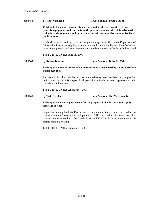#### **SB 1458 By Robert Duncan House Sponsor: Brian McCall**

**Relating to the management of state agency and local government electronic projects, equipment, and contracts, to the purchase and use of certain advanced technological equipment, and to the use of outside personnel by the comptroller of public accounts.**

Establishes an electronic government program management office in the Department of Information Resources to guide, promote, and facilitate the implementation of select egovernment projects and to manage the ongoing development of the TexasOnline portal.

#### **EFFECTIVE DATE:** June 15, 2001

#### **SB 1547 by Robert Duncan House Sponsor: Brian McCall**

**Relating to the establishment of an investment advisory board by the comptroller of public accounts.**

The Comptroller shall establish an investment advisory board to advise the comptroller on investments. For this purpose the deposit of state funds in a state depository are not considered an investment.

#### **EFFECTIVE DATE:** September 1, 2001

**SB 1600 by Todd Staples House Sponsor: Jim McReynolds**

#### **Relating to the water rights permit for the proposed Lake Eastex water supply reservoir project**

Legislative finding that Lake Eastex is in the public interest and extends the deadline for commencement of construction to September 1, 2011, the deadline for completion of construction to September 1, 2017 and allows the TNRCC to issue an amendment to the permit without a hearing.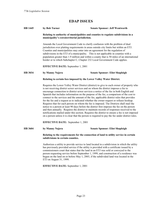### **EDAP ISSUES**

## **HB 1445 by Bob Turner Senate Sponsor: Jeff Wentworth Relating to authority of municipalities and counties to regulate subdivisions in a municipality's extraterritorial jurisdiction.** Amends the Local Government Code to clarify confusion with the problem of dual jurisdiction over platting requirements in areas outside city limits but within an ETJ. Counties and municipalities may enter into an agreement for the regulation of subdivisions in the ETJ of a municipality. This is not applicable in counties with a population greater than 1.9 million and within a county that is 50 miles of an international border or to which Subchapter C, Chapter 232 Local Government Code applies. **EFFECTIVE DATE:** September 1, 2001 **HB 3034 by Manny Najera Senate Sponsor: Eliot Shapleigh Relating to certain fees imposed by the Lower Valley Water District.** Requires the Lower Valley Water District (district) to give to each owner of property who is not receiving district sewer services and on whom the district imposes a fee to encourage connection to district sewer services a notice of the fee in both English and Spanish that includes information on the purpose of the fee, a comparison of the cost to connect to the services and the amount of the fee, applicable district rules that provides for the fee and a request as to indicated whether the owner request or refuses hookup. Requires that for each person on whom the fee is imposed. The Districts shall mail the notice to a person at least 90 days before the district first imposes the fee on the person and then annually. Requires the district to maintain records of responses received to the notifications mailed under this section. Requires the district to ensure a fee is not imposed on a person unless it is clear that the person is required to pay the fee under district rules. **EFFECTIVE DATE:** September 1, 2001 **HB 3604 by Manny Najera Senate Sponsor: Eliot Shapleigh Relating to the requirements for the connection of land to utility service in certain subdivisions in certain counties.**

Authorizes a utility to provide service to land located in a subdivision in which the utility has previously provided service if the utility is provided with a certificate issued by a commissioners court that states that the land in an ETJ was sold or conveyed to the person requesting service before September 1, 1999, and construction of a residence was begun on the land on or before May 1, 2003, if the subdivided land was located in the ETJ on August 31, 1999.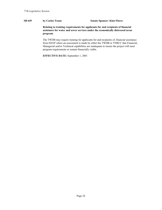#### SB 649 by Carlos Truan Senate Sponsor: Kino Flores

**Relating to training requirements for applicants for and recipients of financial assistance for water and sewer services under the economically distressed areas program.**

The TWDB may require training for applicants for and recipients of, financial assistance from EDAP where an assessment is made by either the TWDB or TNRCC that Financial, Managerial and/or Technical capabilities are inadequate to ensure the project will meet program requirements or remain financially viable.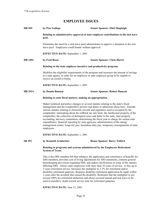## **EMPLOYEE ISSUES**

| <b>HB</b> 569 | by Pete Gallego                                                                                                                                                                                                                                                                                | <b>Senate Sponsor: Eliot Shapleigh</b>                                                                                                                                                                                                                                                                                                                                                                                                                                                                                                                                                                                                                                                                                                     |  |
|---------------|------------------------------------------------------------------------------------------------------------------------------------------------------------------------------------------------------------------------------------------------------------------------------------------------|--------------------------------------------------------------------------------------------------------------------------------------------------------------------------------------------------------------------------------------------------------------------------------------------------------------------------------------------------------------------------------------------------------------------------------------------------------------------------------------------------------------------------------------------------------------------------------------------------------------------------------------------------------------------------------------------------------------------------------------------|--|
|               | Relating to administrative approval of state employee contributions to the sick leave<br>pool.<br>Eliminates the need for a sick leave pool administrator to approve a donation to the sick<br>leave pool. Employees could donate without approval<br><b>EFFECTIVE DATE:</b> September 1, 2001 |                                                                                                                                                                                                                                                                                                                                                                                                                                                                                                                                                                                                                                                                                                                                            |  |
|               |                                                                                                                                                                                                                                                                                                |                                                                                                                                                                                                                                                                                                                                                                                                                                                                                                                                                                                                                                                                                                                                            |  |
|               |                                                                                                                                                                                                                                                                                                |                                                                                                                                                                                                                                                                                                                                                                                                                                                                                                                                                                                                                                                                                                                                            |  |
| HB 2492       | by Fred Bosse                                                                                                                                                                                                                                                                                  | <b>Senate Sponsor: Chris Harris</b>                                                                                                                                                                                                                                                                                                                                                                                                                                                                                                                                                                                                                                                                                                        |  |
|               |                                                                                                                                                                                                                                                                                                | Relating to the state employee incentive and productivity program.                                                                                                                                                                                                                                                                                                                                                                                                                                                                                                                                                                                                                                                                         |  |
|               | receive an award or bonus.                                                                                                                                                                                                                                                                     | Modifies the eligibility requirements of the program and increases the amount of savings<br>to a state agency in order for an employee or state employee group to be eligible to                                                                                                                                                                                                                                                                                                                                                                                                                                                                                                                                                           |  |
|               | <b>EFFECTIVE DATE:</b> September 1, 2001                                                                                                                                                                                                                                                       |                                                                                                                                                                                                                                                                                                                                                                                                                                                                                                                                                                                                                                                                                                                                            |  |
| HB 2914       | by Dennis Bonnen                                                                                                                                                                                                                                                                               | <b>Senate Sponsor: Robert Duncan</b>                                                                                                                                                                                                                                                                                                                                                                                                                                                                                                                                                                                                                                                                                                       |  |
|               |                                                                                                                                                                                                                                                                                                | Relating to state fiscal matters; making an appropriation.                                                                                                                                                                                                                                                                                                                                                                                                                                                                                                                                                                                                                                                                                 |  |
|               | employees.                                                                                                                                                                                                                                                                                     | Makes technical and policy changes to several statutes relating to the state's fiscal<br>management and the comptroller's powers and duties to administer those laws. Amends<br>various statutes relating to electronic records and signatures used or accepted by the<br>comptroller; rulemaking about the rollback tax rate limit; the intellectual property of the<br>comptroller; the collection of delinquent taxes and debts to the state; state property<br>accounting; advisory committees; determining the fiscal year to charge for certain state<br>expenditures; financial reporting by state agencies; administration of the energy<br>management center; longevity pay; hazardous duty pay; temporary reassignments of state |  |
|               | <b>EFFECTIVE DATE:</b> September 1, 2001                                                                                                                                                                                                                                                       |                                                                                                                                                                                                                                                                                                                                                                                                                                                                                                                                                                                                                                                                                                                                            |  |
| <b>SB 292</b> | by Kenneth Armbrister                                                                                                                                                                                                                                                                          | <b>House Sponsor: Barry Telford</b>                                                                                                                                                                                                                                                                                                                                                                                                                                                                                                                                                                                                                                                                                                        |  |
|               | Relating to programs and systems administered by the Employees Retirement<br><b>System of Texas.</b>                                                                                                                                                                                           |                                                                                                                                                                                                                                                                                                                                                                                                                                                                                                                                                                                                                                                                                                                                            |  |
|               |                                                                                                                                                                                                                                                                                                | This is the ERS omnibus bill that enhances the application and consistency of benefits for<br>ERS members, provides cost of living adjustments for ERS annuitants, contains general<br>housekeeping provisions regarding ERS, and makes clarifications in some of the statutes<br>affecting ERS. Allows state employees with more than 10 years of service, to buy up to<br>5 years retirement service. Increases the multiplier to 2.3% for retirement and/or                                                                                                                                                                                                                                                                             |  |

disability retirement purposes. Requires disability retirement application be made within 2 years after the accident that caused the disability. Reiterates that the multiplier to not exceed 100% for retirement deduction and allows accrued annual and sick leave to be used in members' death toward service time for retirement purposes.

**EFFECTIVE DATE:** June 15, 2001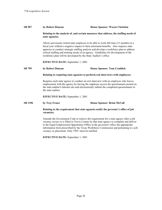| <b>SB 587</b>                                                                   | by Robert Duncan                                                                                                                                                                                                                                  | <b>House Sponsor: Wayne Christian</b>                                                                                                                                                                                                                                     |
|---------------------------------------------------------------------------------|---------------------------------------------------------------------------------------------------------------------------------------------------------------------------------------------------------------------------------------------------|---------------------------------------------------------------------------------------------------------------------------------------------------------------------------------------------------------------------------------------------------------------------------|
|                                                                                 | state agencies.                                                                                                                                                                                                                                   | Relating to the analysis of, and certain measures that address, the staffing needs of                                                                                                                                                                                     |
|                                                                                 | fiscal year without a negative impact to their retirement benefits. Also requires state<br>critical staffing and training needs of an agency. Guidelines for development of the<br>workforce plan will be developed by the State Auditor's office | Allows previously retired state employee to be able to work full time (12 months) in a<br>agencies to conduct strategic staffing analysis and develop a workforce plan to address                                                                                         |
|                                                                                 | <b>EFFECTIVE DATE:</b> September 1, 2001                                                                                                                                                                                                          |                                                                                                                                                                                                                                                                           |
| <b>SB 799</b>                                                                   | by Robert Duncan                                                                                                                                                                                                                                  | <b>House Sponsor: Tom Craddick</b>                                                                                                                                                                                                                                        |
| Relating to requiring state agencies to perform exit interviews with employees. |                                                                                                                                                                                                                                                   |                                                                                                                                                                                                                                                                           |
|                                                                                 | Requires each state agency to conduct an exit interview with an employee who leaves<br>the state auditor.                                                                                                                                         | employment with the agency by having the employee access the questionnaire posted on<br>the state auditor's Internet site and electronically submit the completed questionnaire to                                                                                        |
|                                                                                 | <b>EFFECTIVE DATE:</b> September 1, 2001                                                                                                                                                                                                          |                                                                                                                                                                                                                                                                           |
| <b>SB 1396</b>                                                                  | by Troy Fraser                                                                                                                                                                                                                                    | <b>House Sponsor: Brian McCall</b>                                                                                                                                                                                                                                        |
|                                                                                 | vacancies.                                                                                                                                                                                                                                        | Relating to the requirement that state agencies notify the governor's office of job                                                                                                                                                                                       |
|                                                                                 | to the Equal Employment Opportunity Office in the governor's office the appropriate<br>vacancy or placement. Only TWC must be notified.                                                                                                           | Amends the Government Code to remove the requirement for a state agency after a job<br>vacancy occurs or is filled in Travis County by that state agency to complete and deliver<br>information form prescribed by the Texas Workforce Commission and pertaining to a job |
|                                                                                 | EEEECTIVE DATE, September 1, 2001                                                                                                                                                                                                                 |                                                                                                                                                                                                                                                                           |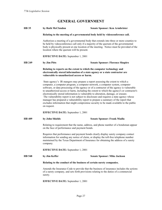## **GENERAL GOVERNMENT**

#### **HB 35 by Ruth McClendon Senate Sponsor: Ken Armbrister**

#### **Relating to the meeting of a governmental body held by videoconference call.**

Authorizes a meeting of a governmental body that extends into three or more counties to be held by videoconference call only if a majority of the quorum of the governmental body is physically present at one location of the meeting. Notice must be provided of the location where the quorum will be present.

#### **EFFECTIVE DATE:** September 1, 2001

**HB 249 by Jim Pitts Senate Sponsor: Florence Shapiro**

**Relating to reports on the extent to which the computer technology and electronically stored information of a state agency or a state contractor are vulnerable to unauthorized access or harm.**

State agency's IR mangers may prepare a report assessing the extent to which a computer, a computer program, a computer network, a computer system, computer software, or data processing of the agency or of a contractor of the agency is vulnerable to unauthorized access or harm, including the extent to which the agency's or contractor's electronically stored information is vulnerable to alteration, damage, or erasure. The vulnerability report is not subject to disclosure and requires a state agency whose manager has prepared a vulnerability report to prepare a summary of the report that excludes information that might compromise security to be made available to the public on request.

#### **EFFECTIVE DATE:** September 1, 2001

#### **HB 409 by John Shields Senate Sponsor: Frank Madla**

Relating to requirement that the name, address, and phone number of a bondsman appear on the face of performance and payment bonds.

Requires that performance and payment bonds clearly display surety company contact information for sending any notice of claim, or display the toll-free telephone number maintained by the Texas Department of Insurance for obtaining the address of a surety company.

**EFFECTIVE DATE:** September 1, 2001

#### **HB 548 by Jim Keffer Senate Sponsor: Mike Jackson**

#### **Relating to the conduct of the business of certain surety companies.**

Amends the Insurance Code to provide that the business of insurance includes the actions of a surety company, and sets forth provisions relating to the duties of a commercial surety.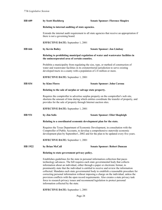| <b>HB</b> 609                                                                                                                                                                                                                                             | by Scott Hochberg                                                                                                                                                                                                                                                                                                                                                                                                                                                                                                                                                                                                                                                      | <b>Senate Sponsor: Florence Shapiro</b>                                                  |  |
|-----------------------------------------------------------------------------------------------------------------------------------------------------------------------------------------------------------------------------------------------------------|------------------------------------------------------------------------------------------------------------------------------------------------------------------------------------------------------------------------------------------------------------------------------------------------------------------------------------------------------------------------------------------------------------------------------------------------------------------------------------------------------------------------------------------------------------------------------------------------------------------------------------------------------------------------|------------------------------------------------------------------------------------------|--|
|                                                                                                                                                                                                                                                           | Relating to internal auditing of state agencies.                                                                                                                                                                                                                                                                                                                                                                                                                                                                                                                                                                                                                       |                                                                                          |  |
|                                                                                                                                                                                                                                                           | Extends the internal audit requirement to all state agencies that receive an appropriation if<br>there is not a governing board.                                                                                                                                                                                                                                                                                                                                                                                                                                                                                                                                       |                                                                                          |  |
|                                                                                                                                                                                                                                                           | <b>EFFECTIVE DATE:</b> September 1, 2001                                                                                                                                                                                                                                                                                                                                                                                                                                                                                                                                                                                                                               |                                                                                          |  |
| <b>HB</b> 666                                                                                                                                                                                                                                             | by Kevin Bailey                                                                                                                                                                                                                                                                                                                                                                                                                                                                                                                                                                                                                                                        | <b>Senate Sponsor: Jon Lindsay</b>                                                       |  |
|                                                                                                                                                                                                                                                           | Relating to prohibiting municipal regulation of water and wastewater facilities in<br>the unincorporated area of certain counties.                                                                                                                                                                                                                                                                                                                                                                                                                                                                                                                                     |                                                                                          |  |
|                                                                                                                                                                                                                                                           | Prohibits a municipality from regulating the size, type, or method of construction of<br>water and wastewater facilities in its extraterritorial jurisdiction to serve existing<br>developed tracts in a county with a population of 2.8 million or more.                                                                                                                                                                                                                                                                                                                                                                                                              |                                                                                          |  |
|                                                                                                                                                                                                                                                           | <b>EFFECTIVE DATE:</b> September 1, 2001                                                                                                                                                                                                                                                                                                                                                                                                                                                                                                                                                                                                                               |                                                                                          |  |
| <b>HB 834</b>                                                                                                                                                                                                                                             | by Kino Flores                                                                                                                                                                                                                                                                                                                                                                                                                                                                                                                                                                                                                                                         | <b>Senate Sponsor: John Carona</b>                                                       |  |
|                                                                                                                                                                                                                                                           | Relating to the sale of surplus or salvage state property.                                                                                                                                                                                                                                                                                                                                                                                                                                                                                                                                                                                                             |                                                                                          |  |
|                                                                                                                                                                                                                                                           | Requires the comptroller to advertise surplus property on the comptroller's web site,<br>shortens the amount of time during which entities coordinate the transfer of property, and<br>provides for the sale of property through Internet auction sites.<br><b>EFFECTIVE DATE:</b> September 1, 2001                                                                                                                                                                                                                                                                                                                                                                   |                                                                                          |  |
|                                                                                                                                                                                                                                                           |                                                                                                                                                                                                                                                                                                                                                                                                                                                                                                                                                                                                                                                                        |                                                                                          |  |
| <b>HB</b> 931                                                                                                                                                                                                                                             | by Jim Solis                                                                                                                                                                                                                                                                                                                                                                                                                                                                                                                                                                                                                                                           | <b>Senate Sponsor: Eliot Shapleigh</b>                                                   |  |
|                                                                                                                                                                                                                                                           | Relating to a coordinated economic development plan for the state.                                                                                                                                                                                                                                                                                                                                                                                                                                                                                                                                                                                                     |                                                                                          |  |
| Requires the Texas Department of Economic Development, in consultation with the<br>Comptroller of Public Accounts, to develop a comprehensive statewide economic<br>development plan by September1, 2002 and for the plan to be updated every five years. |                                                                                                                                                                                                                                                                                                                                                                                                                                                                                                                                                                                                                                                                        |                                                                                          |  |
|                                                                                                                                                                                                                                                           | EFFECTIVE DATE: September 1, 2001                                                                                                                                                                                                                                                                                                                                                                                                                                                                                                                                                                                                                                      |                                                                                          |  |
| HB 1922                                                                                                                                                                                                                                                   | by Brian McCall                                                                                                                                                                                                                                                                                                                                                                                                                                                                                                                                                                                                                                                        | <b>Senate Sponsor: Robert Duncan</b>                                                     |  |
|                                                                                                                                                                                                                                                           | Relating to state government privacy policy.                                                                                                                                                                                                                                                                                                                                                                                                                                                                                                                                                                                                                           |                                                                                          |  |
|                                                                                                                                                                                                                                                           | Establishes guidelines for the state in personal information collection that paces<br>technology advances. The bill requires each state governmental body that collects<br>information about an individual, either through a paper or electronic format, to<br>prominently state that the individual is entitled to receive and review the information<br>correcting personal information without imposing a charge on the individual, unless the<br>provision conflicts with the open record requirements. Also creates a state privacy task<br>force to research privacy issues and recommend legislation to protect personal<br>information collected by the state. | collected. Mandates each state governmental body to establish a reasonable procedure for |  |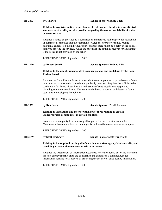| <b>HB 2033</b>                                                                                                             | by Jim Pitts                                                                                                                                                                                                                                                                                                                                                                                                                | <b>Senate Sponsor: Eddie Lucio</b>                                                      |
|----------------------------------------------------------------------------------------------------------------------------|-----------------------------------------------------------------------------------------------------------------------------------------------------------------------------------------------------------------------------------------------------------------------------------------------------------------------------------------------------------------------------------------------------------------------------|-----------------------------------------------------------------------------------------|
|                                                                                                                            | Relating to requiring notice to purchasers of real property located in a certificated<br>service area of a utility service provider regarding the cost or availability of water<br>or sewer service.                                                                                                                                                                                                                        |                                                                                         |
|                                                                                                                            | Requires a notice be provided to a purchaser of unimproved real property for residential<br>or commercial purposes that the extension of water or sewer services may require<br>additional expense on the individual's part, and that there might be a delay in the utility's<br>ability to provide the services. Gives the purchaser the option to recover certain damages<br>if the notice is not provided by the seller. |                                                                                         |
|                                                                                                                            | <b>EFFECTIVE DATE:</b> September 1, 2001                                                                                                                                                                                                                                                                                                                                                                                    |                                                                                         |
| <b>HB 2190</b>                                                                                                             | by Robert Junell                                                                                                                                                                                                                                                                                                                                                                                                            | <b>Senate Sponsor: Rodney Ellis</b>                                                     |
|                                                                                                                            | Relating to the establishment of debt issuance policies and guidelines by the Bond<br><b>Review Board.</b>                                                                                                                                                                                                                                                                                                                  |                                                                                         |
|                                                                                                                            | Requires the Bond Review Board to adopt debt issuance policies to guide issuers of state<br>securities and to ensure that state debt is prudently managed. Requires the policies to be<br>sufficiently flexible to allow the state and issuers of state securities to respond to<br>changing economic conditions. Also requires the board to consult with issuers of state<br>securities in developing the policies.        |                                                                                         |
|                                                                                                                            | <b>EFFECTIVE DATE:</b> September 1, 2001                                                                                                                                                                                                                                                                                                                                                                                    |                                                                                         |
| HB 2579                                                                                                                    | by Ron Lewis                                                                                                                                                                                                                                                                                                                                                                                                                | <b>Senate Sponsor: David Bernsen</b>                                                    |
| Relating to annexation and incorporation procedures relating to certain<br>unincorporated communities in certain counties. |                                                                                                                                                                                                                                                                                                                                                                                                                             |                                                                                         |
|                                                                                                                            | Prohibits a municipality from annexing all or part of the area located within the<br>Mauriceville boundary unless the municipality includes the area in its annexation plan.                                                                                                                                                                                                                                                |                                                                                         |
|                                                                                                                            | <b>EFFECTIVE DATE:</b> September 1, 2001                                                                                                                                                                                                                                                                                                                                                                                    |                                                                                         |
| HB 2589                                                                                                                    | by Scott Hochberg                                                                                                                                                                                                                                                                                                                                                                                                           | <b>Senate Sponsor: Jeff Wentworth</b>                                                   |
|                                                                                                                            | Relating to the required posting of information on a state agency's Internet site, and<br>providing an exemption to open records requirements.                                                                                                                                                                                                                                                                              |                                                                                         |
|                                                                                                                            | for state agency Internet sites and to establish and administer a clearinghouse for<br>information relating to all aspects of protecting the security of state agency information.                                                                                                                                                                                                                                          | Requires the Department of Information Resources to create a terms of service statement |
|                                                                                                                            | EFFECTIVE DATE: September 1, 2001                                                                                                                                                                                                                                                                                                                                                                                           |                                                                                         |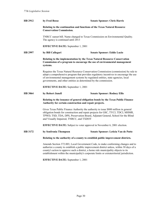# **Relating to the continuation and functions of the Texas Natural Resource Conservation Commission.** TNRCC sunset bill. Name changed to Texas Commission on Environmental Quality. The agency is continued until 2013 **EFFECTIVE DATE:** September 1, 2001 **HB 2997 by Bill Callegari Senate Sponsor: Eddie Lucio Relating to the implementation by the Texas Natural Resource Conservation Commission of a program to encourage the use of environmental management systems.** Requires the Texas Natural Resource Conservation Commission (commission) by rule to adopt a comprehensive program that provides regulatory incentives to encourage the use of environmental management systems by regulated entities, state agencies, local governments, and other entities as determined by the commission. **EFFECTIVE DATE:** September 1, 2001 **HB 3064 by Robert Junell Senate Sponsor: Rodney Ellis Relating to the issuance of general obligation bonds by the Texas Public Finance Authority for certain construction and repair projects.** Gives Texas Public Finance Authority the authority to issue \$800 million in general obligation bonds for construction and repair projects for GSC, TYCJ, TDCJ, MHMR, TPWD, TSD, TDA, DPS, Preservation Board, Adjutant General, School for the Blind and Visually Impaired, TNRCC, and TXDOT **EFFECTIVE DATE:** Subject to voter approval in November 6, 2001 election. **HB 3172 by Senfronia Thompson Senate Sponsor: Leticia Van de Putte Relating to the authority of a county to establish public improvement districts.** Amends Section 372.003, Local Government Code, to make conforming changes and to authorize a county to establish a public improvement district unless, within 30 days of a county's action to approve such a district, a home rule municipality objects to its establishment within the municipality's corporate limits or extraterritorial jurisdiction.

**HB 2912 by Fred Bosse Senate Sponsor: Chris Harris**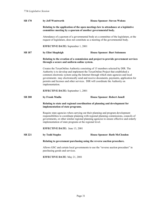# **SB 170** by Jeff Wentworth **House Sponsor: Steven Wolens Relating to the application of the open meetings law to attendance at a legislative committee meeting by a quorum of another governmental body.** Attendance of a quorum of a governmental body at a committee of the legislature, at the request of legislature, does not constitute as a meeting of the governmental body. **EFFECTIVE DATE:** September 1, 2001 **SB 187 by Eliot Shapleigh House Sponsor: Burt Solomons Relating to the creation of a commission and project to provide government services through a secure and uniform online system.** Creates the TexasOnline Authority consisting of 15 members selected by DIR. The Authority is to develop and implement the TexasOnline Project that established a common electronic system using the Internet through which state agencies and local governments may electronically send and receive documents, payments, application for permits and licenses and other services. DIR will coordinate the Authority on implementation. **EFFECTIVE DATE:** September 1, 2001 **SB 200 by Frank Madla House Sponsor: Robert Junell Relating to state and regional coordination of planning and development for implementation of state programs.** Require state agencies when carrying out their planning and program development responsibilities to coordinate planning with regional planning commissions, councils of governments, or other similar regional planning agencies to ensure effective and orderly implementation of state programs at the regional level. **EFFECTIVE DATE:** June 13, 2001 **SB 221** by Todd Staples **House Sponsor: Ruth McClendon Relating to government purchasing using the reverse auction procedure.** Allows GSC and certain local governments to use the "reverse auction procedure" in purchasing goods and services. **EFFECTIVE DATE**: May 21, 2001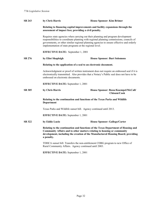| SB 243                                   | by Chris Harris                                                                                                                                                                                                                                                | <b>House Sponsor: Kim Brimer</b>                                                                                                                                                                                                                                        |  |
|------------------------------------------|----------------------------------------------------------------------------------------------------------------------------------------------------------------------------------------------------------------------------------------------------------------|-------------------------------------------------------------------------------------------------------------------------------------------------------------------------------------------------------------------------------------------------------------------------|--|
|                                          |                                                                                                                                                                                                                                                                | Relating to financing capital improvements and facility expansions through the<br>assessment of impact fees; providing a civil penalty.                                                                                                                                 |  |
|                                          | implementation of state programs at the regional level.                                                                                                                                                                                                        | Requires state agencies when carrying out their planning and program development<br>responsibilities to coordinate planning with regional planning commissions, councils of<br>governments, or other similar regional planning agencies to ensure effective and orderly |  |
|                                          | <b>EFFECTIVE DATE:</b> September 1, 2001                                                                                                                                                                                                                       |                                                                                                                                                                                                                                                                         |  |
| SB 276                                   | by Eliot Shapleigh                                                                                                                                                                                                                                             | <b>House Sponsor: Burt Solomons</b>                                                                                                                                                                                                                                     |  |
|                                          | Relating to the application of a seal to an electronic document.                                                                                                                                                                                               |                                                                                                                                                                                                                                                                         |  |
|                                          | embossed on electronic documents.                                                                                                                                                                                                                              | Acknowledgment or proof of written instrument does not require an embossed seal if it is<br>electronically transmitted. Also provides that a Notary's Public seal does not have to be                                                                                   |  |
| <b>EFFECTIVE DATE:</b> September 1, 2001 |                                                                                                                                                                                                                                                                |                                                                                                                                                                                                                                                                         |  |
| SB 305                                   | by Chris Harris                                                                                                                                                                                                                                                | House Sponsor: Bosse/Kuempel/McCall/<br><b>Chisum/Cook</b>                                                                                                                                                                                                              |  |
|                                          | Relating to the continuation and functions of the Texas Parks and Wildlife<br><b>Department</b>                                                                                                                                                                |                                                                                                                                                                                                                                                                         |  |
|                                          | Texas Parks and Wildlife sunset bill. Agency continued until 2013.                                                                                                                                                                                             |                                                                                                                                                                                                                                                                         |  |
|                                          | <b>EFFECTIVE DATE:</b> September 1, 2001                                                                                                                                                                                                                       |                                                                                                                                                                                                                                                                         |  |
| SB 322                                   | by Eddie Lucio                                                                                                                                                                                                                                                 | <b>House Sponsor: Gallego/Carter</b>                                                                                                                                                                                                                                    |  |
|                                          | Relating to the continuation and functions of the Texas Department of Housing and<br>Community Affairs and to other matters relating to housing or community<br>development, including the creation of the Manufactured Housing Board; providing<br>a penalty. |                                                                                                                                                                                                                                                                         |  |
|                                          | TDHCA sunset bill. Transfers the non-entitlement CDBG program to new Office of<br>Rural Community Affairs. Agency continued until 2003.                                                                                                                        |                                                                                                                                                                                                                                                                         |  |
|                                          | <b>EFFECTIVE DATE:</b> September 1, 2001                                                                                                                                                                                                                       |                                                                                                                                                                                                                                                                         |  |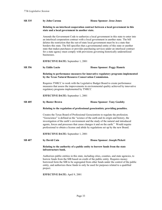| <b>SB 335</b> | by John Carona                                                                                                                                                                                                                                                                                                                                                                                                                                                                                                                   | <b>House Sponsor: Jesse Jones</b>                                                       |
|---------------|----------------------------------------------------------------------------------------------------------------------------------------------------------------------------------------------------------------------------------------------------------------------------------------------------------------------------------------------------------------------------------------------------------------------------------------------------------------------------------------------------------------------------------|-----------------------------------------------------------------------------------------|
|               | Relating to an interlocal cooperation contract between a local government in this<br>state and a local government in another state.                                                                                                                                                                                                                                                                                                                                                                                              |                                                                                         |
|               | an interlocal cooperation contract with a local government in another state. The bill<br>deletes the restriction that the out-of-state local government must be in a state that<br>borders this state. The bill specifies that a governmental entity of this state or another<br>state that makes purchases or provides purchasing services under an interlocal contract<br>for a state agency must comply with provisions governing historically underutilized<br>businesses.                                                   | Amends the Government Code to authorize a local government in this state to enter into  |
|               | <b>EFFECTIVE DATE:</b> September 1, 2001                                                                                                                                                                                                                                                                                                                                                                                                                                                                                         |                                                                                         |
| <b>SB</b> 356 | by Eddie Lucio                                                                                                                                                                                                                                                                                                                                                                                                                                                                                                                   | <b>House Sponsor: Peggy Hamric</b>                                                      |
|               | by the Texas Natural Resource Conservation Commission.                                                                                                                                                                                                                                                                                                                                                                                                                                                                           | Relating to performance measures for innovative regulatory programs implemented         |
|               | Requires TNRCC to work with the Legislative Budget Board to create performance<br>measures that assess the improvements in environmental quality achieved by innovative<br>regulatory programs implemented by TNRCC                                                                                                                                                                                                                                                                                                              |                                                                                         |
|               | <b>EFFECTIVE DATE:</b> September 1, 2001                                                                                                                                                                                                                                                                                                                                                                                                                                                                                         |                                                                                         |
| <b>SB 405</b> | by Buster Brown                                                                                                                                                                                                                                                                                                                                                                                                                                                                                                                  | <b>House Sponsor: Tony Goolsby</b>                                                      |
|               | Relating to the regulation of professional geoscientists; providing penalties.<br>Creates the Texas Board of Professional Geoscientists to regulate the profession.<br>"Geoscience" is defined as the "science of the earth and its origin and history, the<br>investigation of the earth's environment and the study of the natural and introduced<br>agents, forces and processes that cause changes it and on the earth." Would require<br>professional to obtain a license and abide by regulations set up by the new Board. |                                                                                         |
|               |                                                                                                                                                                                                                                                                                                                                                                                                                                                                                                                                  |                                                                                         |
|               | <b>EFFECTIVE DATE:</b> September 1, 2001                                                                                                                                                                                                                                                                                                                                                                                                                                                                                         |                                                                                         |
| <b>SB 407</b> | by David Cain                                                                                                                                                                                                                                                                                                                                                                                                                                                                                                                    | <b>House Sponsor: Joseph Pickett</b>                                                    |
|               | Relating to the authority of a public entity to borrow funds from the state<br>infrastructure bank.                                                                                                                                                                                                                                                                                                                                                                                                                              |                                                                                         |
|               | Authorizes public entities in this state, including cities, counties, and state agencies, to<br>borrow funds from the SIB based on credit of the public entity. Requires money<br>entity, and authorizes these funds to only be used for purposes related to a qualified<br>project.                                                                                                                                                                                                                                             | borrowed form the SIB to be segregated from other funds under the control of the public |
|               | <b>EFFECTIVE DATE: April 9, 2001</b>                                                                                                                                                                                                                                                                                                                                                                                                                                                                                             |                                                                                         |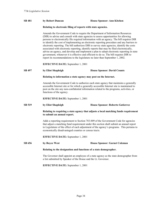| <b>SB 481</b> | by Robert Duncan                                                                                                                                                                                                                                                                                                                                                                                                                             | <b>House Sponsor: Ann Kitchen</b>                                                                                                                                                                                                                                                                                                                                                  |
|---------------|----------------------------------------------------------------------------------------------------------------------------------------------------------------------------------------------------------------------------------------------------------------------------------------------------------------------------------------------------------------------------------------------------------------------------------------------|------------------------------------------------------------------------------------------------------------------------------------------------------------------------------------------------------------------------------------------------------------------------------------------------------------------------------------------------------------------------------------|
|               | Relating to electronic filing of reports with state agencies.                                                                                                                                                                                                                                                                                                                                                                                |                                                                                                                                                                                                                                                                                                                                                                                    |
|               | Amends the Government Code to require the Department of Information Resources<br>(DIR) to advise and consult with state agencies to assess opportunities for allowing<br>associated with electronic reporting, identify reports that may be filed electronically,<br>government, whenever it is effective and efficient to do so. The bill requires DIR to<br>report its recommendations to the legislature no later than September 1, 2002. | persons to electronically file required information with an agency. The bill requires DIR<br>to identify the cost of implementing an electronic reporting procedure and any barriers to<br>electronic reporting. The bill authorizes DIR to survey state agencies, identify the costs<br>advise an agency, and develop and implement a plan to adopt electronic reporting in state |
|               | <b>EFFECTIVE DATE:</b> September 1, 2001                                                                                                                                                                                                                                                                                                                                                                                                     |                                                                                                                                                                                                                                                                                                                                                                                    |
| <b>SB 497</b> | by Eliot Shapleigh                                                                                                                                                                                                                                                                                                                                                                                                                           | <b>House Sponsor: David Counts</b>                                                                                                                                                                                                                                                                                                                                                 |
|               | Relating to information a state agency may post on the Internet.                                                                                                                                                                                                                                                                                                                                                                             |                                                                                                                                                                                                                                                                                                                                                                                    |
|               | Amends the Government Code to authorize each state agency that maintains a generally<br>accessible Internet site or for which a generally accessible Internet site is maintained to<br>post on the site any non-confidential information related to the programs, activities, or<br>functions of the agency.                                                                                                                                 |                                                                                                                                                                                                                                                                                                                                                                                    |
|               | <b>EFFECTIVE DATE:</b> September 1, 2001                                                                                                                                                                                                                                                                                                                                                                                                     |                                                                                                                                                                                                                                                                                                                                                                                    |
| <b>SB 519</b> | by Eliot Shapleigh                                                                                                                                                                                                                                                                                                                                                                                                                           | <b>House Sponsor: Roberto Gutierrez</b>                                                                                                                                                                                                                                                                                                                                            |
|               | Relating to requiring a state agency that adjusts a local matching funds requirement<br>to submit an annual report.                                                                                                                                                                                                                                                                                                                          |                                                                                                                                                                                                                                                                                                                                                                                    |
|               | Adds a reporting requirement to Section 783.009 of the Government Code for agencies<br>that adjust a matching fund requirement under this section shall submit an annual report<br>to Legislature of the effect of each adjustment of the agency's programs. This pertains to<br>economically disadvantaged counties or census tracts.                                                                                                       |                                                                                                                                                                                                                                                                                                                                                                                    |
|               | <b>EFFECTIVE DATE:</b> September 1, 2001                                                                                                                                                                                                                                                                                                                                                                                                     |                                                                                                                                                                                                                                                                                                                                                                                    |
| SB 656        | by Royce West                                                                                                                                                                                                                                                                                                                                                                                                                                | <b>House Sponsor: Garnet Coleman</b>                                                                                                                                                                                                                                                                                                                                               |
|               | Relating to the designation and functions of a state demographer.                                                                                                                                                                                                                                                                                                                                                                            |                                                                                                                                                                                                                                                                                                                                                                                    |
|               | a list submitted by Speaker of the House and the Lt. Governor.                                                                                                                                                                                                                                                                                                                                                                               | The Governor shall appoint an employee of a state agency as the state demographer from                                                                                                                                                                                                                                                                                             |
|               | <b>EFFECTIVE DATE:</b> September 1, 2001                                                                                                                                                                                                                                                                                                                                                                                                     |                                                                                                                                                                                                                                                                                                                                                                                    |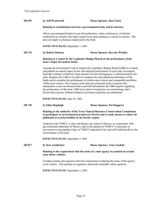# **SB 695 by Jeff Wentworth House Sponsor: Ron Clark Relating to consultations between a governmental body and its attorney** Allows governmental bodies to use teleconferences, video conferences, or Internet conferences to consult with legal counsel in an open meeting or executive session. This does not apply to attorneys employed by the body **EFFECTIVE DATE:** September 1, 2001 **SB 734 by Robert Duncan House Sponsor: Beverly Woolley Relating to a report by the Legislative Budget Board on the performance of the state's major investment funds.** Amends the Government Code to require the Legislative Budget Board (LBB) to evaluate and publish an annual report on the risk-adjusted performance of each state investment fund that contains a relatively large amount of assets belonging to or administered by the state. Requires the LBB in its report to compare the risk-adjusted performance of the funds and to examine the performance of similar asset classes and comparable portfolios within asset classes. Also requires each state governmental entity or person that administers a state investment fund to provide information the LBB requests regarding the performance of the fund. LBB in its report is required to use terminology and a format that a person without technical investment expertise can understand. **EFFECTIVE DATE:** June 16, 2001 **SB 749 by Eliot Shapleigh House Sponsor: Pat Haggerty Relating to the authority of the Texas Natural Resource Conservation Commission to participate in environmental projects in Mexico and to study means to reduce air pollutants in certain facilities in the border region.** Authorizes the TNRCC to take and finance any action in Mexico, in cooperation with governmental authorities of Mexico, that in the opinion of TNRCC is necessary or convenient to accomplish a duty of TNRCC imposed by law and will yield benefits to the environment in this state. **EFFECTIVE DATE:** September 1, 2001 **SB 817 by Ken Armbrister House Sponsor: Tony Goolsby Relating to the requirement that the name of a state agency be printed on certain state motor vehicles.** Exempts certain state agencies from the requirement of placing the name of the agency on its vehicle. This pertains to regulatory and heath and public safety agencies. **EFFECTIVE DATE:** September 1, 2001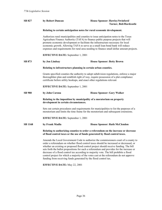| <b>SB 827</b>                                                                                                                                                                   | by Robert Duncan                                                                                                                                                                                                                                                                                                                                                                                                                                                                                                                                                                                                               | House Sponsor: Hawley/Swinford/<br>Turner, Bob/Hardcastle      |  |
|---------------------------------------------------------------------------------------------------------------------------------------------------------------------------------|--------------------------------------------------------------------------------------------------------------------------------------------------------------------------------------------------------------------------------------------------------------------------------------------------------------------------------------------------------------------------------------------------------------------------------------------------------------------------------------------------------------------------------------------------------------------------------------------------------------------------------|----------------------------------------------------------------|--|
|                                                                                                                                                                                 | Relating to certain anticipation notes for rural economic development.                                                                                                                                                                                                                                                                                                                                                                                                                                                                                                                                                         |                                                                |  |
|                                                                                                                                                                                 | Authorizes rural municipalities and counties to issue anticipation notes to the Texas<br>Agriculture Finance Authority (TAFA) to finance public purpose projects that will<br>promote economic development or facilitate the infrastructure necessary for local<br>economic growth. Allowing TAFA to serve as a small loan bond bank will reduce<br>expenses and requirements for rural area needing to finance small dollar amount projects.                                                                                                                                                                                  |                                                                |  |
|                                                                                                                                                                                 | <b>EFFECTIVE DATE:</b> September 1, 2001                                                                                                                                                                                                                                                                                                                                                                                                                                                                                                                                                                                       |                                                                |  |
| <b>SB 873</b>                                                                                                                                                                   | by Jon Lindsay                                                                                                                                                                                                                                                                                                                                                                                                                                                                                                                                                                                                                 | <b>House Sponsor: Betty Brown</b>                              |  |
|                                                                                                                                                                                 |                                                                                                                                                                                                                                                                                                                                                                                                                                                                                                                                                                                                                                | Relating to infrastructure planning in certain urban counties. |  |
|                                                                                                                                                                                 | Grants specified counties the authority to adopt subdivision regulations, enforce a major<br>thoroughfare plan and establish right of way, require possession of a plat compliance<br>certificate before utility hookups, and enact other regulations relevant                                                                                                                                                                                                                                                                                                                                                                 |                                                                |  |
|                                                                                                                                                                                 | <b>EFFECTIVE DATE:</b> September 1, 2001                                                                                                                                                                                                                                                                                                                                                                                                                                                                                                                                                                                       |                                                                |  |
| <b>SB 980</b>                                                                                                                                                                   | by John Carona                                                                                                                                                                                                                                                                                                                                                                                                                                                                                                                                                                                                                 | <b>House Sponsor: Gary Walker</b>                              |  |
|                                                                                                                                                                                 | Relating to the imposition by municipality of a moratorium on property<br>development in certain circumstances.                                                                                                                                                                                                                                                                                                                                                                                                                                                                                                                |                                                                |  |
| Sets out certain procedures and requirements for municipalities to list the purposes of a<br>moratorium and limits the time frame for the moratorium and subsequent extensions. |                                                                                                                                                                                                                                                                                                                                                                                                                                                                                                                                                                                                                                |                                                                |  |
|                                                                                                                                                                                 | <b>EFFECTIVE DATE:</b> September 1, 2001                                                                                                                                                                                                                                                                                                                                                                                                                                                                                                                                                                                       |                                                                |  |
| <b>SB 1168</b>                                                                                                                                                                  | by Frank Madla                                                                                                                                                                                                                                                                                                                                                                                                                                                                                                                                                                                                                 | <b>House Sponsor: Ruth McClendon</b>                           |  |
|                                                                                                                                                                                 | Relating to authorizing counties to order a referendum on the increase or decrease<br>of flood control taxes or the use of funds generated by flood control taxes.                                                                                                                                                                                                                                                                                                                                                                                                                                                             |                                                                |  |
|                                                                                                                                                                                 | Amends the Local Government Code to authorize the commissioners court of a county to<br>order a referendum on whether flood control taxes should be increased or decreased, or<br>whether an existing or proposed flood control project should receive funding. The bill<br>sets forth the ballot propositions for such a referendum and provides for the increase or<br>decrease of a flood control tax according to majority vote. The bill prohibits a flood<br>control project for which a majority of the votes cast at the referendum do not approve<br>funding from receiving funds generated by the flood control tax. |                                                                |  |

**EFFECTIVE DATE:** May 22, 2001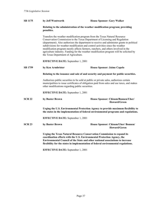# **SB 1175 by Jeff Wentworth House Sponsor: Gary Walker Relating to the administration of the weather modification program; providing penalties.** Transfers the weather modification program from the Texas Natural Resource Conservation Commission to the Texas Department of Licensing and Regulation (department). Also authorizes the department to receive and administer grants to political subdivisions for weather modification and control activities since the weather modification program mostly affects farmers, ranchers, and others involved in the agriculture industry. Funding for the weather modification program will be solicited by the Texas Department of Agriculture. **EFFECTIVE DATE:** September 1, 2001 **SB 1759 by Ken Armbrister House Sponsor: Jaime Capelo Relating to the issuance and sale of and security and payment for public securities.** Authorizes public securities to be sold at public or private sales, authorizes certain municipalities to issue certificates of obligation paid from sales and use taxes, and makes other modifications regarding public securities. **EFFECTIVE DATE:** September 1, 2001 **SCR 22** by Buster Brown **House Sponsor: Chisum/Bonnen/Uher/ Howard/Green Urging the U.S. Environmental Protection Agency to provide maximum flexibility to the states in the implementation of federal environmental programs and regulations. EFFECTIVE DATE:** September 1, 2001 **SCR 23** by Buster Brown **House Sponsor: Chisum/Uher/ Bonnen/ Howard/Geren Urging the Texas Natural Resource Conservation Commission to expand its coordination efforts with the U.S. Environmental Protection Agency, the Environmental Council of the State and other national associations to increase flexibility for the states in implementation of federal environmental regulations. EFFECTIVE DATE:** September 1, 2001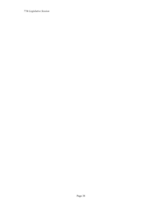*77th Legislative Session*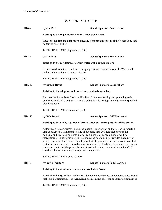# **WATER RELATED**

| <b>HB</b> 66  | by Jim Pitts                                                                                                                                                                                                                                                                                                                                                                                                                                                                                                                                                                                                                                                                                                                             | <b>Senate Sponsor: Buster Brown</b>                                                    |  |
|---------------|------------------------------------------------------------------------------------------------------------------------------------------------------------------------------------------------------------------------------------------------------------------------------------------------------------------------------------------------------------------------------------------------------------------------------------------------------------------------------------------------------------------------------------------------------------------------------------------------------------------------------------------------------------------------------------------------------------------------------------------|----------------------------------------------------------------------------------------|--|
|               | Relating to the regulation of certain water well drillers.                                                                                                                                                                                                                                                                                                                                                                                                                                                                                                                                                                                                                                                                               |                                                                                        |  |
|               | pertain to water drillers.                                                                                                                                                                                                                                                                                                                                                                                                                                                                                                                                                                                                                                                                                                               | Reduce redundant and duplicative language from certain sections of the Water Code that |  |
|               | <b>EFFECTIVE DATE:</b> September 1, 2001                                                                                                                                                                                                                                                                                                                                                                                                                                                                                                                                                                                                                                                                                                 |                                                                                        |  |
| <b>HB</b> 71  | by Jim Pitts                                                                                                                                                                                                                                                                                                                                                                                                                                                                                                                                                                                                                                                                                                                             | <b>Senate Sponsor: Buster Brown</b>                                                    |  |
|               | Relating to the regulation of certain water well pump installers.                                                                                                                                                                                                                                                                                                                                                                                                                                                                                                                                                                                                                                                                        |                                                                                        |  |
|               | Removes redundant and duplicative language from certain sections of the Water Code<br>that pertain to water well pump installers.                                                                                                                                                                                                                                                                                                                                                                                                                                                                                                                                                                                                        |                                                                                        |  |
|               | <b>EFFECTIVE DATE:</b> September 1, 2001                                                                                                                                                                                                                                                                                                                                                                                                                                                                                                                                                                                                                                                                                                 |                                                                                        |  |
| <b>HB</b> 217 | by Arthur Reyna                                                                                                                                                                                                                                                                                                                                                                                                                                                                                                                                                                                                                                                                                                                          | <b>Senate Sponsor: David Sibley</b>                                                    |  |
|               | Relating to the adoption and use of certain plumbing codes.                                                                                                                                                                                                                                                                                                                                                                                                                                                                                                                                                                                                                                                                              |                                                                                        |  |
|               | Requires the Texas State Board of Plumbing Examiners to adopt any plumbing code<br>published by the ICC and authorizes the board by rule to adopt later editions of specified<br>plumbing codes.                                                                                                                                                                                                                                                                                                                                                                                                                                                                                                                                         |                                                                                        |  |
|               | <b>EFFECTIVE DATE:</b> September 1, 2001                                                                                                                                                                                                                                                                                                                                                                                                                                                                                                                                                                                                                                                                                                 |                                                                                        |  |
| <b>HB 247</b> | by Bob Turner                                                                                                                                                                                                                                                                                                                                                                                                                                                                                                                                                                                                                                                                                                                            | <b>Senate Sponsor: Jeff Wentworth</b>                                                  |  |
|               | Relating to the use by a person of stored water on certain property of the person.                                                                                                                                                                                                                                                                                                                                                                                                                                                                                                                                                                                                                                                       |                                                                                        |  |
|               | Authorizes a person, without obtaining a permit, to construct on the person's property a<br>dam or reservoir with normal storage of not more than 200 acre-feet of water for<br>domestic and livestock purposes and for commercial or noncommercial wildlife<br>management, including fishing, but not including fish farming Provides that a person<br>who temporarily stores more than 200 acre-feet of water in a dam or reservoir described<br>by this subsection is not required to obtain a permit for the dam or reservoir if the person<br>can demonstrate that the person has not stored in the dam or reservoir more than 200<br>acre-feet of water on average in any 12-month period.<br><b>EFFECTIVE DATE:</b> June 17, 2001 |                                                                                        |  |
|               |                                                                                                                                                                                                                                                                                                                                                                                                                                                                                                                                                                                                                                                                                                                                          |                                                                                        |  |
| <b>HB</b> 453 | by David Swinford                                                                                                                                                                                                                                                                                                                                                                                                                                                                                                                                                                                                                                                                                                                        | <b>Senate Sponsor: Tom Haywood</b>                                                     |  |
|               | Relating to the creation of the Agriculture Policy Board.                                                                                                                                                                                                                                                                                                                                                                                                                                                                                                                                                                                                                                                                                |                                                                                        |  |
|               | Establishes the Agricultural Policy Board to recommend strategies for agriculture. Board<br>make up is Commissioner of Agriculture and members of House and Senate Committees.                                                                                                                                                                                                                                                                                                                                                                                                                                                                                                                                                           |                                                                                        |  |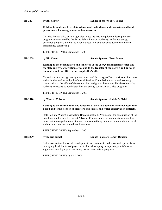# **HB 2277 by Bill Carter Senate Sponsor: Troy Fraser Relating to contracts by certain educational institutions, state agencies, and local governments for energy conservation measures.** Clarifies the authority of state agencies to use the master equipment lease purchase program, administered by the Texas Public Finance Authority, to finance energy efficiency programs and makes other changes to encourage state agencies to utilize performance contracting. **EFFECTIVE DATE:** September 1, 2001 **HB 2278** by Bill Carter Senate Sponsor: Troy Fraser **Relating to the consolidation and functions of the energy management center and the state energy conservation office and to the transfer of the powers and duties of the center and the office to the comptroller's office.** Consolidates the energy management center and the energy office, transfers all functions and activities performed by the General Services Commission that related to energy conservation to the office of the comptroller, and grants the comptroller the rulemaking authority necessary to administer the state energy conservation office programs. **EFFECTIVE DATE:** September 1, 2001 **HB 2310 by Warren Chisum Senate Sponsor: Judith Zaffirini Relating to the continuation and functions of the State Soil and Water Conservation Board and to the election of directors of local soil and water conservation districts.** State Soil and Water Conservation Board sunset bill. Provides for the continuation of the board and implements the Sunset Advisory Commission's recommendations regarding non-point source pollution abatement, outreach to the agricultural community, and local soil and water conservation district elections. **EFFECTIVE DATE:** September 1, 2001 **HB 2379 by Robert Junell Senate Sponsor: Robert Duncan** Authorizes certain Industrial Development Corporations to undertake water projects by modifying the definition of project to include developing or improving a city's water supply and developing and instituting water conservation programs.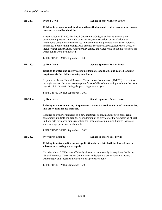# **HB 2401 by Ron Lewis Senate Sponsor: Buster Brown**

#### **Relating to programs and funding methods that promote water conservation among certain state and local entities.**

Amends Section 373.005(b), Local Government Code, to authorize a community development program to include construction, reconstruction, or installation that implements design features or makes improvements that promote water use efficiency, and makes a conforming change. Also amends Section 61.0591(c), Education Code, to include water conservation, rainwater harvesting, and water reuse to the list of efforts for which funds are to be allocated.

#### **EFFECTIVE DATE:** September 1, 2001

### **HB 2403 by Ron Lewis Senate Sponsor: Buster Brown**

### **Relating to water and energy saving performance standards and related labeling requirements for clothes-washing machines.**

Requires the Texas Natural Resource Conservation Commission (TNRCC) to report to the legislature on the water consumption factor of all clothes washing machines that were imported into this state during the preceding calendar year.

**EFFECTIVE DATE:** September 1, 2001

### **HB 2404 by Ron Lewis Senate Sponsor: Buster Brown**

### **Relating to the submetering of apartments, manufactured home rental communities, and other multiple use facilities.**

Requires an owner or manager of a new apartment house, manufactured home rental community, multiple use facility, or condominium to provide for the submetering of each unit and sets forth provisions regarding the installation of plumbing fixtures that meet water savings performance standards.

## **EFFECTIVE DATE:** September 1, 2001

## **HB 3023 by Warren Chisum Senate Sponsor: Teel Bivins**

**Relating to water quality permit applications for certain facilities located near a sole-source drinking water supply.**

Clarifies which CAFOs are sufficiently close to a water supply by requiring the Texas Natural Resource Conservation Commission to designate a protection zone around a water supply and specifies the location of a protection zone.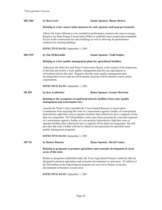# **HB 3286 by Ron Lewis Senate Sponsor: Buster Brown Relating to water conservation measures by state agencies and local governments.** Allows for water efficiency to be included in performance contracts the same as energy. Requires the State Energy Conservation Office to establish water conservation standards for use in the construction for state buildings as well as allowing for performance contracts for existing buildings **EFFECTIVE DATE:** September 1, 2001 **HB 3355 by Jim McReynolds Senate Sponsor: Todd Staples Relating to water quality management plans for agricultural facilities.** Authorizes the State Soil and Water Conservation Board, at the request of the landowner, to develop and certify a water quality management plan for any agricultural or silvicultural land in the state. Requires that the water quality management plan developed that covers land on which animal carcasses will be buried to meet certain requirements. **EFFECTIVE DATE:** September 1, 2001 **SB 289 by Ken Armbrister House Sponsor: Geanie Morrison Relating to the exemption of small hydroelectric facilities from water quality management and watermaster fees.** Amends the Water Code to prohibit the Texas Natural Resource Conservation Commission from assessing the costs of a watermaster against a holder of a non-priority hydroelectric right that owns or operates facilities that collectively have a capacity of less than two megawatts. The bill prohibits a trial court from assessing the costs and expenses of a watermaster against a holder of a non-priority hydroelectric right that owns or operates facilities that collectively have a capacity of less than two megawatts. The bill provides that such a holder will not be subject to an assessment for specified water quality management programs. **EFFECTIVE DATE:** September 1, 2001 **SB 716 by Robert Duncan House Sponsor: David Counts Relating to programs to promote agriculture and economic development in rural areas of this state.** Relates to programs established under the Texas Agricultural Finance Authority that are designed to promote agriculture and economic development in rural areas. \$5 million of the \$30 million in the linked deposit program are reserved to finance economic

**EFFECTIVE DATE:** September 1, 2001

development of business in rural areas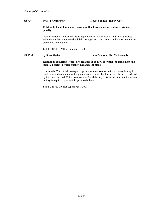## **SB 936** by Ken Armbrister **House Sponsor: Robby Cook**

**Relating to floodplain management and flood insurance; providing a criminal penalty.**

Updates enabling legislation regarding references to both federal and state agencies; enables counties to enforce floodplain management court orders; and allows counties to participate in mitigation

**EFFECTIVE DATE:** September 1, 2001

**SB 1339 by Steve Ogden House Sponsor: Jim McReynolds**

### **Relating to requiring owners or operators of poultry operations to implement and maintain certified water quality management plans.**

Amends the Water Code to require a person who owns or operates a poultry facility to implement and maintain a water quality management plan for the facility that is certified by the State Soil and Water Conservation Board (board). Sets forth a schedule for when a facility is required to submit the plan to the board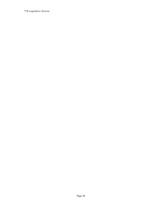*77th Legislative Session*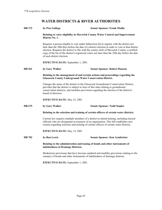# **WATER DISTRICTS & RIVER AUTHORITIES**

| <b>HB</b> 372 | by Pete Gallego                                                                                                                                                                                                                                                                                                                                                                                                                  | <b>Senate Sponsor: Frank Madla</b>                                                                                                                                                                                                                                      |  |
|---------------|----------------------------------------------------------------------------------------------------------------------------------------------------------------------------------------------------------------------------------------------------------------------------------------------------------------------------------------------------------------------------------------------------------------------------------|-------------------------------------------------------------------------------------------------------------------------------------------------------------------------------------------------------------------------------------------------------------------------|--|
|               | Relating to voter eligibility in Maverick County Water Control and Improvement<br>District No. 1.                                                                                                                                                                                                                                                                                                                                |                                                                                                                                                                                                                                                                         |  |
|               | Requires a person eligible to vote under Subsection (b) to register with the district not<br>later than the 30th days before the date of a district election in order to vote in that district<br>election. Requires the district to file with the county clerk of Maverick County a certified<br>copy of the list of the district's registered voters not later than the 25th day before the date<br>of each district election. |                                                                                                                                                                                                                                                                         |  |
|               | <b>EFFECTIVE DATE:</b> September 1, 2001                                                                                                                                                                                                                                                                                                                                                                                         |                                                                                                                                                                                                                                                                         |  |
| <b>HB</b> 561 | by Gary Walker                                                                                                                                                                                                                                                                                                                                                                                                                   | <b>Senate Sponsor: Robert Duncan</b>                                                                                                                                                                                                                                    |  |
|               | Relating to the management of and certain actions and proceedings regarding the<br><b>Glasscock County Underground Water Conservation District.</b>                                                                                                                                                                                                                                                                              |                                                                                                                                                                                                                                                                         |  |
|               | board of directors.                                                                                                                                                                                                                                                                                                                                                                                                              | Changes the name of the district to the Glasscock Groundwater Conservation District,<br>provides that the district is subject to laws of this state relating to groundwater<br>conservation districts, and modifies provisions regarding the election of the district's |  |
|               | <b>EFFECTIVE DATE:</b> May 23, 2001                                                                                                                                                                                                                                                                                                                                                                                              |                                                                                                                                                                                                                                                                         |  |
| HB 675        | by Gary Walker                                                                                                                                                                                                                                                                                                                                                                                                                   | <b>Senate Sponsor: Todd Staples</b>                                                                                                                                                                                                                                     |  |
|               | Relating to the selection and training of certain officers of certain water districts.                                                                                                                                                                                                                                                                                                                                           |                                                                                                                                                                                                                                                                         |  |
|               | Current law requires multiple members of a district to attend training, including elected<br>officials who are designated as treasurer of an organization. This bill establishes new<br>criteria regarding selection and training of certain officers of certain water districts.                                                                                                                                                |                                                                                                                                                                                                                                                                         |  |
|               | <b>EFFECTIVE DATE: May 14, 2001</b>                                                                                                                                                                                                                                                                                                                                                                                              |                                                                                                                                                                                                                                                                         |  |
| HB 702        | by Ron Lewis                                                                                                                                                                                                                                                                                                                                                                                                                     | <b>Senate Sponsor: Ken Armbrister</b>                                                                                                                                                                                                                                   |  |
|               | Relating to the administration and issuing of bonds and other instruments of<br>indebtedness of Drainage Districts.                                                                                                                                                                                                                                                                                                              |                                                                                                                                                                                                                                                                         |  |
|               | issuance of bonds and other instruments of indebtedness of drainage districts.                                                                                                                                                                                                                                                                                                                                                   | Modernizes provisions that have become outdated and modifies provisions relating to the                                                                                                                                                                                 |  |
|               | <b>EFFECTIVE DATE:</b> September 1, 2001                                                                                                                                                                                                                                                                                                                                                                                         |                                                                                                                                                                                                                                                                         |  |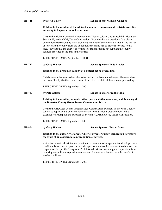| <b>HB</b> 741                                                                                                                                   | by Kevin Bailey                                                                                                                                                                                                                                                                                                | <b>Senate Sponsor: Mario Gallegos</b>                                                                                                                                                                                                                                                                                                                                                                                                                                   |  |
|-------------------------------------------------------------------------------------------------------------------------------------------------|----------------------------------------------------------------------------------------------------------------------------------------------------------------------------------------------------------------------------------------------------------------------------------------------------------------|-------------------------------------------------------------------------------------------------------------------------------------------------------------------------------------------------------------------------------------------------------------------------------------------------------------------------------------------------------------------------------------------------------------------------------------------------------------------------|--|
|                                                                                                                                                 | Relating to the creation of the Aldine Community Improvement District; providing<br>authority to impose a tax and issue bonds.                                                                                                                                                                                 |                                                                                                                                                                                                                                                                                                                                                                                                                                                                         |  |
|                                                                                                                                                 | services provided in the area in the district.                                                                                                                                                                                                                                                                 | Creates the Aldine Community Improvement District (district) as a special district under<br>Section 59, Article XVI, Texas Constitution. Provides that the creation of the district<br>does relieve Harris County from providing the level of services to the area in the district<br>or to release the county from the obligations the entity has to provide services to that<br>area. Provides that the district is created to supplement and not supplant the county |  |
|                                                                                                                                                 | <b>EFFECTIVE DATE:</b> September 1, 2001                                                                                                                                                                                                                                                                       |                                                                                                                                                                                                                                                                                                                                                                                                                                                                         |  |
| HB 742                                                                                                                                          | by Gary Walker                                                                                                                                                                                                                                                                                                 | <b>Senate Sponsor: Todd Staples</b>                                                                                                                                                                                                                                                                                                                                                                                                                                     |  |
|                                                                                                                                                 |                                                                                                                                                                                                                                                                                                                | Relating to the presumed validity of a district act or proceeding.                                                                                                                                                                                                                                                                                                                                                                                                      |  |
|                                                                                                                                                 | Validates an act or proceeding of a water district if a lawsuit challenging the action has<br>not been filed by the third anniversary of the effective date of the action or proceeding<br><b>EFFECTIVE DATE:</b> September 1, 2001                                                                            |                                                                                                                                                                                                                                                                                                                                                                                                                                                                         |  |
|                                                                                                                                                 |                                                                                                                                                                                                                                                                                                                |                                                                                                                                                                                                                                                                                                                                                                                                                                                                         |  |
| <b>HB</b> 787                                                                                                                                   | by Pete Gallego                                                                                                                                                                                                                                                                                                | <b>Senate Sponsor: Frank Madla</b>                                                                                                                                                                                                                                                                                                                                                                                                                                      |  |
| Relating to the creation, administration, powers, duties, operation, and financing of<br>the Brewster County Groundwater Conservation District. |                                                                                                                                                                                                                                                                                                                |                                                                                                                                                                                                                                                                                                                                                                                                                                                                         |  |
|                                                                                                                                                 | Creates the Brewster County Groundwater Conservation District, in Brewster County,<br>subject to approval at a confirmation election. The district is created under and is<br>essential to accomplish the purposes of Section 59, Article XVI, Texas Constitution.<br><b>EFFECTIVE DATE:</b> September 1, 2001 |                                                                                                                                                                                                                                                                                                                                                                                                                                                                         |  |
|                                                                                                                                                 |                                                                                                                                                                                                                                                                                                                |                                                                                                                                                                                                                                                                                                                                                                                                                                                                         |  |
| HB 924                                                                                                                                          | by Gary Walker                                                                                                                                                                                                                                                                                                 | <b>Senate Sponsor: Buster Brown</b>                                                                                                                                                                                                                                                                                                                                                                                                                                     |  |
|                                                                                                                                                 | Relating to the authority of a water district or water supply corporation to require<br>the grant of an easement as a precondition of service.                                                                                                                                                                 |                                                                                                                                                                                                                                                                                                                                                                                                                                                                         |  |
|                                                                                                                                                 | another applicant.                                                                                                                                                                                                                                                                                             | Authorizes a water district or corporation to require a service applicant or developer, as a<br>condition for service, to grant or provide a permanent recorded easement to the district or<br>corporation for specified purposes. Prohibits a district or water supply corporation from<br>requiring an applicant to provide an easement for a service line for the sole benefit of                                                                                    |  |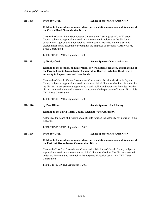| <b>HB</b> 1038 | by Robby Cook                                                                                                                                                                                                                                                                                                                                                                                                                                                                                                                                                                                                                                                                      | Senate Sponsor: Ken Armbrister        |  |
|----------------|------------------------------------------------------------------------------------------------------------------------------------------------------------------------------------------------------------------------------------------------------------------------------------------------------------------------------------------------------------------------------------------------------------------------------------------------------------------------------------------------------------------------------------------------------------------------------------------------------------------------------------------------------------------------------------|---------------------------------------|--|
|                | Relating to the creation, administration, powers, duties, operation, and financing of<br>the Coastal Bend Groundwater District.                                                                                                                                                                                                                                                                                                                                                                                                                                                                                                                                                    |                                       |  |
|                | Creates the Coastal Bend Groundwater Conservation District (district), in Wharton<br>County, subject to approval at a confirmation election. Provides that the district is a<br>governmental agency and a body politic and corporate. Provides that the district is<br>created under and is essential to accomplish the purposes of Section 59, Article XVI,<br>Texas Constitution.                                                                                                                                                                                                                                                                                                |                                       |  |
|                | <b>EFFECTIVE DATE:</b> September 1, 2001                                                                                                                                                                                                                                                                                                                                                                                                                                                                                                                                                                                                                                           |                                       |  |
| <b>HB</b> 1081 | by Robby Cook                                                                                                                                                                                                                                                                                                                                                                                                                                                                                                                                                                                                                                                                      | <b>Senate Sponsor: Ken Armbrister</b> |  |
|                | Relating to the creation, administration, powers, duties, operation, and financing of<br>the Fayette County Groundwater Conservation District, including the district's<br>authority to impose taxes and issue bonds.<br>Creates the Colorado Valley Groundwater Conservation District (district), in Fayette<br>County, subject to approval at a confirmation and initial directors' election. Provides that<br>the district is a governmental agency and a body politic and corporate. Provides that the<br>district is created under and is essential to accomplish the purposes of Section 59, Article<br>XVI, Texas Constitution.<br><b>EFFECTIVE DATE:</b> September 1, 2001 |                                       |  |
|                |                                                                                                                                                                                                                                                                                                                                                                                                                                                                                                                                                                                                                                                                                    |                                       |  |
|                |                                                                                                                                                                                                                                                                                                                                                                                                                                                                                                                                                                                                                                                                                    |                                       |  |
| <b>HB</b> 1110 | by Paul Hilbert                                                                                                                                                                                                                                                                                                                                                                                                                                                                                                                                                                                                                                                                    | <b>Senate Sponsor: Jon Lindsay</b>    |  |
|                | Relating to the North Harris County Regional Water Authority.<br>Authorizes the board of directors of a district to petition the authority for inclusion in the<br>authority.<br><b>EFFECTIVE DATE:</b> September 1, 2001                                                                                                                                                                                                                                                                                                                                                                                                                                                          |                                       |  |
|                |                                                                                                                                                                                                                                                                                                                                                                                                                                                                                                                                                                                                                                                                                    |                                       |  |
|                |                                                                                                                                                                                                                                                                                                                                                                                                                                                                                                                                                                                                                                                                                    |                                       |  |
| <b>HB</b> 1136 | by Robby Cook                                                                                                                                                                                                                                                                                                                                                                                                                                                                                                                                                                                                                                                                      | <b>Senate Sponsor: Ken Armbrister</b> |  |
|                | Relating to the creation, administration, powers, duties, operation, and financing of<br>the Post Oak Groundwater Conservation District.<br>Creates the Post Oak Groundwater Conservation District in Colorado County, subject to<br>approval at a confirmation election and initial directors' election. The district is created<br>under and is essential to accomplish the purposes of Section 59, Article XVI, Texas<br>Constitution.<br><b>EFFECTIVE DATE:</b> September 1, 2001                                                                                                                                                                                              |                                       |  |
|                |                                                                                                                                                                                                                                                                                                                                                                                                                                                                                                                                                                                                                                                                                    |                                       |  |
|                |                                                                                                                                                                                                                                                                                                                                                                                                                                                                                                                                                                                                                                                                                    |                                       |  |
|                |                                                                                                                                                                                                                                                                                                                                                                                                                                                                                                                                                                                                                                                                                    |                                       |  |
|                |                                                                                                                                                                                                                                                                                                                                                                                                                                                                                                                                                                                                                                                                                    |                                       |  |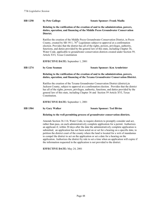### **HB 1258 by Pete Gallego Senate Sponsor: Frank Madla**

**Relating to the ratification of the creation of and to the administration, powers, duties, operation, and financing of the Middle Pecos Groundwater Conservation District.**

Ratifies the creation of the Middle Pecos Groundwater Conservation District, in Pecos County, created by SB 1911,  $76<sup>th</sup>$  Legislature subject to approval at a confirmation election. Provides that the district has all of the rights, powers, privileges, authority, functions, and duties provided by the general law of this state, including Chapter 36, Water Code, applicable to groundwater conservation districts created under Section 59, Article XVI, Texas Constitution

**EFFECTIVE DATE:** September 1, 2001

# **HB 1274 by Gene Seaman Senate Sponsor: Ken Armbrister**

**Relating to the ratification of the creation of and to the administration, powers, duties, operation, and financing of the Texana Groundwater Conservation District.**

Ratifies the creation of the Texana Groundwater Conservation District (district),in Jackson County, subject to approval at a confirmation election. Provides that the district has all of the rights, powers, privileges, authority, functions, and duties provided by the general law of this state, including Chapter 36 and Section 59 Article XVI, Texas Constitution.

**EFFECTIVE DATE:** September 1, 2001

#### **HB 1504 by Gary Walker Senate Sponsor: Teel Bivins**

#### **Relating to the well permitting process of groundwater conservation districts.**

Amends Section 36.114, Water Code, to require districts to promptly consider and act, rather than pass, on each administratively complete application for a permit. Authorizes an applicant if, within 30 days after the date the administratively complete application is submitted, an application has not been acted on or set for a hearing on a specific date, to petition the district court of the county where the land is located for a writ of mandamus to compel the district to act on the application or set a date for a hearing on the application. Authorizes the district by rule to set a time when an application will expire if the information requested in the application is not provided to the district.

**EFFECTIVE DATE:** May 24, 2001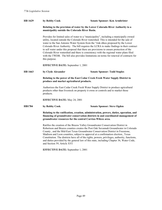# **HB 1629 by Robby Cook Senate Sponsor: Ken Armbrister**

### **Relating to the provision of water by the Lower Colorado River Authority to a municipality outside the Colorado River Basin.**

Provides for limited sales of water to a "municipality", including a municipally owned utility, located outside the Colorado River watershed. This is intended for the sale of water to the San Antonio Water System from the "rink dikes proposed by the Lower Colorado River Authority. The bill requires the LCRA to make findings in their contract to sell water under this proposal that there are provisions to ensure protection of the Colorado River watershed and there is consistency with the regional water plans filed with the TWDB. The bill also provides limitations on terms for renewal of contracts for this purpose.

 **EFFECTIVE DATE:** September 1, 2001

# **HB 1663 by Clyde Alexander Senate Sponsor: Todd Staples**

**Relating to the power of the East Cedar Creek Fresh Water Supply District to produce and market agricultural products.**

Authorizes the East Cedar Creek Fresh Water Supply District to produce agricultural products other than livestock on property it owns or controls and to market those products.

**EFFECTIVE DATE:** May 24, 2001

### **HB1784 by Robby Cook Senate Sponsor: Steve Ogden**

**Relating to the ratification, creation, administration, powers, duties, operation, and financing of groundwater conservation districts in and coordinated management of groundwater resources for the central Carrizo-Wilcox area.**

Ratifies the creation of the Brazos Valley Groundwater Conservation District in Robertson and Brazos counties creates the Post Oak Savannah Groundwater in Colorado County , and the Mid-East Texas Groundwater Conservation District in Freestone, Madison and Leon counities, subject to approval at a confirmation election., Texas Constitution. The districts have all of the rights, powers, privileges, authority, functions, and duties provided by the general law of this state, including Chapter 36, Water Code, and Section 59, Article XVI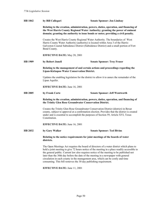| HB 1842        | by Bill Callegari                                                                                                                                                                                                                                                                                                                                            | <b>Senate Sponsor: Jon Lindsay</b>                                                                                                                                                                                                                              |  |
|----------------|--------------------------------------------------------------------------------------------------------------------------------------------------------------------------------------------------------------------------------------------------------------------------------------------------------------------------------------------------------------|-----------------------------------------------------------------------------------------------------------------------------------------------------------------------------------------------------------------------------------------------------------------|--|
|                | Relating to the creation, administration, powers, duties, operation, and financing of<br>the West Harris County Regional Water Authority; granting the power of eminent<br>domain; granting the authority to issue bonds or notes; providing a civil penalty.                                                                                                |                                                                                                                                                                                                                                                                 |  |
|                | Bend County.                                                                                                                                                                                                                                                                                                                                                 | Creates the West Harris County Regional Water Authority. The boundaries of West<br>Harris County Water Authority (authority) is located within Area 3 of the Harris-<br>Galveston Coastal Subsidence District (Subsidence District) and a small portion of Fort |  |
|                | <b>EFFECTIVE DATE:</b> May 28, 2001                                                                                                                                                                                                                                                                                                                          |                                                                                                                                                                                                                                                                 |  |
| <b>HB</b> 1909 | by Robert Junell                                                                                                                                                                                                                                                                                                                                             | <b>Senate Sponsor: Troy Fraser</b>                                                                                                                                                                                                                              |  |
|                | Relating to the management of and certain actions and proceedings regarding the<br>Lipan-Kickapoo Water Conservation District.                                                                                                                                                                                                                               |                                                                                                                                                                                                                                                                 |  |
|                | Updates the enabling legislation for the district to allow it to annex the remainder of the<br>Lipan Aquifer.                                                                                                                                                                                                                                                |                                                                                                                                                                                                                                                                 |  |
|                | <b>EFFECTIVE DATE: June 16, 2001</b>                                                                                                                                                                                                                                                                                                                         |                                                                                                                                                                                                                                                                 |  |
| <b>HB 2005</b> | by Frank Corte                                                                                                                                                                                                                                                                                                                                               | <b>Senate Sponsor: Jeff Wentworth</b>                                                                                                                                                                                                                           |  |
|                | Relating to the creation, administration, powers, duties, operation, and financing of<br>the Trinity Glen Rose Groundwater Conservation District.                                                                                                                                                                                                            |                                                                                                                                                                                                                                                                 |  |
|                | Creates the Trinity Glen Rose Groundwater Conservation District (district) in Bexar<br>county, subject to approval at a confirmation election. Provides that the district is created<br>under and is essential to accomplish the purposes of Section 59, Article XVI, Texas<br>Constitution.                                                                 |                                                                                                                                                                                                                                                                 |  |
|                | <b>EFFECTIVE DATE: June 16, 2001</b>                                                                                                                                                                                                                                                                                                                         |                                                                                                                                                                                                                                                                 |  |
| HB 2032        | by Gary Walker                                                                                                                                                                                                                                                                                                                                               | <b>Senate Sponsor: Teel Bivins</b>                                                                                                                                                                                                                              |  |
|                | Relating to the notice requirements for joint meetings of the boards of water<br>districts.                                                                                                                                                                                                                                                                  |                                                                                                                                                                                                                                                                 |  |
|                | The Open Meetings Act requires the board of directors of a water district which plans to<br>the general public. Current law also requires notice of the meeting to be published not<br>later than the 30th day before the date of the meeting in a newspaper with general<br>circulation in each county in the management area, which can be costly and time | hold a joint meeting to give 72 hours notice of the meeting in a place readily accessible to                                                                                                                                                                    |  |

**EFFECTIVE DATE:** June 11, 2001

consuming. This bill removes the 30 day publishing requirement.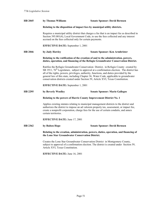## **HB 2045 by Thomas Williams Senate Sponsor: David Bernsen**

#### **Relating to the disposition of impact fees by municipal utility districts.**

Requires a municipal utility district that charges a fee that is an impact fee as described in Section 395.001(4), Local Government Code, to use the fees collected and any interest accrued on the fees collected only for certain payments.

**EFFECTIVE DATE:** September 1, 2001

# **HB 2046 by Judy Hawley Senate Sponsor: Ken Armbrister**

#### **Relating to the ratification of the creation of and to the administration, powers, duties, operation, and financing of the Refugio Groundwater Conservation District.**

Ratifies the Refugio Groundwater Conservation District, in Refugio County created by SB 1911,  $76<sup>th</sup>$  Legislature, subject to approval at a confirmation election. The district has all of the rights, powers, privileges, authority, functions, and duties provided by the general law of this state, including Chapter 36, Water Code, applicable to groundwater conservation districts created under Section 59, Article XVI, Texas Constitution.

**EFFECTIVE DATE:** September 1, 2001

### **HB 2295 by Beverly Woolley Senate Sponsor: Mario Gallegos**

### **Relating to the powers of Harris County Improvement District No. 1**

Applies existing statutes relating to municipal management districts to the district and authorizes the district to impose an ad valorem property tax, assessment, or impact fee, create a nonprofit corporation, charge fees for the use of certain conduits, and annex certain territories.

**EFFECTIVE DATE:** June 17, 2001

**HB 2362 by Ruben Hope Senate Sponsor: David Bernsen**

**Relating to the creation, administration, powers, duties, operation, and financing of the Lone Star Groundwater Conservation District.**

Creates the Lone Star Groundwater Conservation District in Montgomery County, subject to approval of a confirmation election. The district is created under Section 59, Article XVI, Texas Constitution.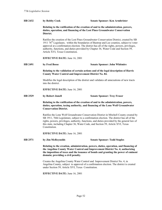| <b>HB</b> 2432 | by Robby Cook                                                                                                                                                                                                                                                                                                                                                                                                      | Senate Sponsor: Ken Armbrister       |
|----------------|--------------------------------------------------------------------------------------------------------------------------------------------------------------------------------------------------------------------------------------------------------------------------------------------------------------------------------------------------------------------------------------------------------------------|--------------------------------------|
|                | Relating to the ratification of the creation of and to the administration, powers,<br>duties, operation, and financing of the Lost Pines Groundwater Conservation<br>District.                                                                                                                                                                                                                                     |                                      |
|                | Ratifies the creation of the Lost Pines Groundwater Conservation District, created by SB<br>1911 $76th$ Legislaure, within the boundaries of Bastrop and Lee counties, subject to voter<br>approval at a confirmation election. The district has all of the rights, powers, privileges,<br>authority, functions, and duties provided by Chapter 36, Water Code and Section 59,<br>Article XVI, Texas Constitution. |                                      |
|                | <b>EFFECTIVE DATE: June 16, 2001</b>                                                                                                                                                                                                                                                                                                                                                                               |                                      |
| HB 2491        | by Fred Bosse                                                                                                                                                                                                                                                                                                                                                                                                      | <b>Senate Sponsor: John Whitmire</b> |
|                | Relating to the validation of certain actions and of the legal description of Harris<br>County Water Control and Improvement District No. 84.                                                                                                                                                                                                                                                                      |                                      |
|                | Modifies the legal description of the district and validates all annexations of new tracts<br>into the district.                                                                                                                                                                                                                                                                                                   |                                      |
|                | <b>EFFECTIVE DATE: June 16, 2001</b>                                                                                                                                                                                                                                                                                                                                                                               |                                      |
| HB 2529        | by Robert Junell                                                                                                                                                                                                                                                                                                                                                                                                   | <b>Senate Sponsor: Troy Fraser</b>   |
|                | Relating to the ratification of the creation of and to the administration, powers,<br>duties, operation, taxing authority, and financing of the Lone Wolf Groundwater<br><b>Conservation District.</b>                                                                                                                                                                                                             |                                      |
|                | Ratifies the Lone Wolf Groundwater Conservation District in Mitchell County created by<br>SB 1911, 76th Legislature, subject to a confirmation election. The district has all of the<br>rights, powers, privileges, authority, functions, and duties provided by the general law of<br>this state, including Chapter 36, Water Code, and Section 59, Article XVI, Texas<br>Constitution.                           |                                      |
|                | <b>EFFECTIVE DATE: June 16, 2001</b>                                                                                                                                                                                                                                                                                                                                                                               |                                      |
| HB 2571        | by Jim McReynolds                                                                                                                                                                                                                                                                                                                                                                                                  | <b>Senate Sponsor: Todd Staples</b>  |
|                | Relating to the creation, administration, powers, duties, operation, and financing of<br>the Angelina County Water Control and Improvement District No. 4; authorizing<br>the imposition of taxes and the issuance of bonds and granting the power of eminent<br>domain; providing a civil penalty.                                                                                                                |                                      |
|                | Creates the Angelina County Water Control and Improvement District No. 4, in<br>Angelina County, subject to approval of a confirmation election. The district is created<br>under Section 59, Article XVI, Texas Constitution.                                                                                                                                                                                     |                                      |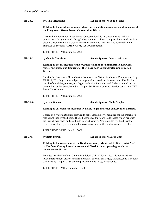| HB 2572        | by Jim McReynolds                                                                                                                                                                                                                                                                                                                                                                  | <b>Senate Sponsor: Todd Staples</b>                                                                                                                                                 |
|----------------|------------------------------------------------------------------------------------------------------------------------------------------------------------------------------------------------------------------------------------------------------------------------------------------------------------------------------------------------------------------------------------|-------------------------------------------------------------------------------------------------------------------------------------------------------------------------------------|
|                | the Pineywoods Groundwater Conservation District.                                                                                                                                                                                                                                                                                                                                  | Relating to the creation, administration, powers, duties, operations, and financing of                                                                                              |
|                | Creates the Pineywoods Groundwater Conservation District, coextensive with the<br>boundaries of Angelina and Nacogdoches counties, subject to approval at a confirmation<br>election. Provides that the district is created under and is essential to accomplish the<br>purposes of Section 59, Article XVI, Texas Constitution.                                                   |                                                                                                                                                                                     |
|                | <b>EFFECTIVE DATE: June 16, 2001</b>                                                                                                                                                                                                                                                                                                                                               |                                                                                                                                                                                     |
| HB 2643        | by Geanie Morrison                                                                                                                                                                                                                                                                                                                                                                 | Senate Sponsor: Ken Armbrister                                                                                                                                                      |
|                | Relating to the ratification of the creation of and to the administration, powers,<br>duties, operation, and financing of the Crossroads Groundwater Conservation<br>District.                                                                                                                                                                                                     |                                                                                                                                                                                     |
|                | SB 1911, 76th Legislature, subject to approval at a confirmation election. The district<br>has all of the rights, powers, privileges, authority, functions, and duties provided by the<br>Texas Constitution.                                                                                                                                                                      | Ratifies the Crossroads Groundwater Conservation District in Victoria County created by<br>general law of this state, including Chapter 36, Water Code and Section 59, Article XVI, |
|                | <b>EFFECTIVE DATE: June 16, 2001</b>                                                                                                                                                                                                                                                                                                                                               |                                                                                                                                                                                     |
| <b>HB 2690</b> | by Gary Walker                                                                                                                                                                                                                                                                                                                                                                     | <b>Senate Sponsor: Todd Staples</b>                                                                                                                                                 |
|                |                                                                                                                                                                                                                                                                                                                                                                                    | Relating to enforcement measures available to groundwater conservation districts.                                                                                                   |
|                | Boards of a water district are allowed to set reasonable civil penalties for the breach of a<br>rule established by the board. The bill authorizes the board to delineate which penalties<br>the district may seek, and sets limits to court awards. Also provides for the district to<br>recover any attorney's fees and other costs associated with a suit to enforce its rules. |                                                                                                                                                                                     |
|                | <b>EFFECTIVE DATE: June 11, 2001</b>                                                                                                                                                                                                                                                                                                                                               |                                                                                                                                                                                     |
| HB 2761        | by Betty Brown                                                                                                                                                                                                                                                                                                                                                                     | <b>Senate Sponsor: David Cain</b>                                                                                                                                                   |
|                | Relating to the conversion of the Kaufman County Municipal Utility District No. 1<br>to Kaufman County Levee Improvement District No. 4, operating as a levee<br>improvement district.                                                                                                                                                                                             |                                                                                                                                                                                     |
|                | Provides that the Kaufman County Municipal Utility District No. 1 is converted to a<br>conferred by Chapter 57 (Levee Improvement Districts), Water Code.                                                                                                                                                                                                                          | levee improvement district and has the rights, powers, privileges, authority, and functions                                                                                         |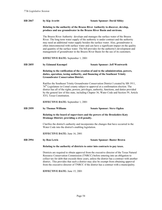# **HB 2847 by Kip Averitt Senate Sponsor: David Sibley Relating to the authority of the Brazos River Authority to discover, develop, produce and use groundwater in the Brazos River Basin and environs.** The Brazos River Authority develops and manages the surface water of the Brazos River. The long term water supply of the authority is under contract and the authority may need an additional water supply besides the surface water. Also, groundwater is often interconnected with surface water and can have a significant impact on the quality and quantity of the surface water. The bill provides for the authority's development and management of groundwater in the Brazos River Basin for the use of its customers. **EFFECTIVE DATE:** September 1, 2001 **HB 2855 by Edmund Kuempel Senate Sponsor: Jeff Wentworth Relating to the ratification of the creation of and to the administration, powers, duties, operation, taxing authority, and financing of the Southeast Trinity Groundwater Conservation District.** Ratifies the Southeast Trinity Groundwater Conservation District I created by SB 1911, 76th Legislature in Comal county subject to approval at a confirmation election. The district has all of the rights, powers, privileges, authority, functions, and duties provided by the general law of this state, including Chapter 36, Water Code and Section 59, Article XVI, Texas Constitution. **EFFECTIVE DATE:** September 1, 2001 **HB 2959 by Thomas Williams Senate Sponsor: Steve Ogden Relating to the board of supervisors and the powers of the Brookshire-Katy Drainage District; providing a civil penalty.** Clarifies the district's authority and incorporates the changes that have occurred in the Water Code into the district's enabling legislation. **EFFECTIVE DATE:** June 16, 2001 **HB 2994 by Ron Lewis Senate Sponsor: Buster Brown Relating to the authority of districts to enter into contracts to pay taxes.** Districts are required to obtain approval from the executive director of the Texas Natural Resource Conservation Commission (TNRCC) before entering into an obligation to collect tax for debt that exceeds three years, unless the district has a contract with another district.. This provides that such a district may also be exempt from obtaining approval from the executive director of TNRCC if the district has a contract with a municipality. **EFFECTIVE DATE:** June 15, 2001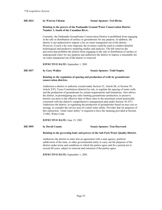# **HB 3024 by Warren Chisum Senate Sponsor: Teel Bivins**

### **Relating to the powers of the Panhandle Ground Water Conservation District Number 3, South of the Canadian River.**

Currently, the Panhandle Groundwater Conservation District is prohibited from engaging in the sale or distribution of surface or groundwater for any purpose. In addition, the district is not authorized to impose a fee on water transported out of the district. However, if such a fee were imposed, the revenues could be used to conduct detailed hydrological and predictive modeling studies and analyses. The bill removes the provision that prohibits the district from engaging in the sale or distribution of surface or underground water for any purpose and authorizes the district to impose a reasonable fee on water transported out of the district is removed

**EFFECTIVE DATE:** September 1, 2001

# **HB 3037** by Gary Walker Senate Sponsor: Todd Staples

## **Relating to the regulation of spacing and production of wells by groundwater conservation districts.**

Authorizes a district or authority created under Section 52, Article III, or Section 59, Article XVI, Texas Constitution (district) by rule, to regulate the spacing of water wells and the production of groundwater by certain requirements and limitations. Also allows the district, in promulgating any rules limiting groundwater production, to preserve historic use prior to the effective date of these rules to the maximum extent practicable consistent with the district's comprehensive management plan under Section 36.1071. Authorizes the district, in regulating the production of groundwater based on tract size or acreage, to consider the service area of a retail water utility. Provides that for purposes of this subsection, "retail water utility" is required to have the meaning provided at Section 13.002, Water Code.

**EFFECTIVE DATE:** June 15, 2001

**HB 3095 by David Counts Senate Sponsor: Tom Haywood**

#### **Relating to the governing body and powers of the Salt Fork Water Quality District.**

Authorizes the district to enter into an agreement with a state agency, political subdivision of the state, or other governmental entity to carry out the purposes of the district under terms and conditions to which the parties agree and for a period not to exceed 40 years, subject to renewal and extension if the parties agree.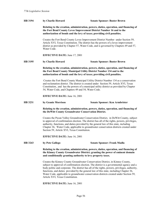### **HB 3194 by Charlie Howard Senate Sponsor: Buster Brown**

**Relating to the creation, administration, powers, duties, operation, and financing of the Fort Bend County Levee Improvement District Number 16 and to the authorization of bonds and the levy of taxes; providing civil penalties.**

Creates the Fort Bend County Levee Improvement District Number under Section 59, Article XVI, Texas Constitution. The district has the powers of a levee improvement district as provided by Chapter 57, Water Code, and is governed by Chapters 49 and 57, Water Code.

**EFFECTIVE DATE:** June 17, 2001

# **HB 3195 by Charlie Howard Senate Sponsor: Buster Brown**

**Relating to the creation, administration, powers, duties, operation, and financing of the Fort Bend County Municipal Utility District Number 134 and to the authorization of bonds and the levy of taxes; providing civil penalties.**

Creates the Fort Bend County Municipal Utility District Number 134 as a conservation and reclamation district. The district is created under Section 59, Article XVI, Texas Constitution., and has the powers of a municipal utility district as provided by Chapter 54, Water Code, and Chapters 49 and 54, Water Code.

**EFFECTIVE DATE:** June 16, 2001

## **HB 3231 by Geanie Morrison Senate Sponsor: Ken Armbrister**

**Relating to the creation, administration, powers, duties, operation, and financing of the DeWitt County Groundwater Conservation District.**

Creates the Pecan Valley Groundwater Conservation District, in DeWitt County, subject to approval of confirmation election. The district has all of the rights, powers, privileges, authority, functions, and duties provided by the general law of this state, including Chapter 36, Water Code, applicable to groundwater conservation districts created under Section 59, Article XVI, Texas Constitution.

**EFFECTIVE DATE:** June 16, 2001

#### **HB 3243 by Pete Gallego Senate Sponsor: Frank Madla**

**Relating to the creation, administration, powers, duties, operation, and financing of the Kinney County Groundwater District; granting the power of eminent domain and conditionally granting authority to levy property taxes.**

Creates the Kinney County Groundwater Conservation District, in Kinney County, subject to approval of confirmation election. The district is a governmental agency and a body politic and corporate. The district has all of the rights, powers, privileges, authority, functions, and duties provided by the general law of this state, including Chapter 36, Water Code, applicable to groundwater conservation districts created under Section 59, Article XVI, Texas Constitution.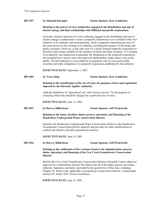# **HB 3357 by Edmund Kuempel Senate Sponsor: Ken Armbrister**

### **Relating to the powers of river authorities engaged in the distribution and sale of electric energy and their relationship with affiliated non-profit corporations.**

Currently, board of directors of a river authority engaged in the distribution and sale of electric energy is authorized to create a nonprofit corporation to act on behalf of the river authority as its authority and instrumentality. Such a nonprofit corporation has most of the same powers as the creating river authority, including the issuance of the bonds and public securities. However, it may take time for a newly formed nonprofit corporation to develop credit ratings suitable for the issuance of bonds and other securities. If a creating river authority was authorized to guarantee the obligations of the nonprofit corporation, the potential lower interest rates and improved marketability might reduce costs to the public. The bill authorizes a river authority to guarantee with its own assets public securities and other obligations of a nonprofit corporation established by the authority.

**EFFECTIVE DATE:** September 1, 2001

# **HB 3404** by Tracy King Senate Sponsor: Ken Armbrister

**Relating to the classification of the use of water for purposes of fees and regulations imposed by the Edwards Aquifer Authority.**

Adds the definitions of "agricultural use" and "nursery grower," for the purpose of clarifying which rate should be charged for a particular use of water.

**EFFECTIVE DATE:** June 15, 2001

#### **HB 3543 by Harvey Hilderbran Senate Sponsor: Jeff Wentworth**

### **Relating to the name, elections, duties, powers, operation, and financing of the Headwaters Underground Water conservation District.**

Renames the Headwaters Underground Water Conservation District as the Headwaters Groundwater Conservation District (district) and provides for other modifications to conform the district with other groundwater districts.

**EFFECTIVE DATE:** June 16, 2001

#### **HB 3544 by Harvey Hilderbran Senate Sponsor: Jeff Wentworth**

**Relating to the ratification of the creation of and to the administration, powers, duties, operation, and financing of the Cow Creek Groundwater Conservation District.**

Ratifies the Cow Creek Groundwater Conservation District in Kendall County subject to approval at a confirmation election The district has all of the rights, powers, privileges, authority, functions, and duties provided by the general law of this state, including Chapter 36, Water Code, applicable to groundwater conservation districts created under Section 59, Article XVI, Texas Constitution,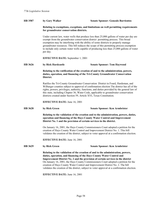## **HB 3587 by Gary Walker Senate Sponsor: Gonzalo Barrientos**

#### **Relating to exemptions, exceptions, and limitations on well permitting requirements for groundwater conservation districts.**

Under current law, water wells that produce less than 25,000 gallons of water per day are exempt from the groundwater conservation district permitting process. This broad exemption may be interfering with the ability of some districts to properly manage groundwater resources. This bill reduces the scope of this permitting process exemption to include only certain water wells capable of producing less than 25,000 gallons of water per day.

# **EFFECTIVE DATE:** September 1, 2001

## **HB 3626 by Rick Hardcastle Senate Sponsor: Tom Haywood**

**Relating to the ratification of the creation of and to the administration, powers, duties, operation, and financing of the Tri-County Groundwater Conservation District.**

Ratifies the Tri-County Groundwater Conservation District in Foard, Hardeman, and Wilbarger counties subject to approval of confirmation election The district has all of the rights, powers, privileges, authority, functions, and duties provided by the general law of this state, including Chapter 36, Water Code, applicable to groundwater conservation districts created under Section 59, Article XVI, Texas Constitution.

**EFFECTIVE DATE:** June 16, 2001

**HB 3628 by Rick Green Senate Sponsor: Ken Armbrister**

**Relating to the validation of the creation and to the administration, powers, duties, operation and financing of the Hays County Water Control and Improvement District No. 1 and the provision of certain services in the district.**

On January 16, 2001, the Hays County Commissioners Court adopted a petition for the creation of Hays County Water Control and Improvement District No. 1. This bill validates the creation of the district, subject to voter approval at a confirmation election.

**EFFECTIVE DATE:** June 16, 2001

#### **HB 3629 by Rick Green Senate Sponsor: Ken Armbrister**

**Relating to the validation of the creation of and to the administration, powers, duties, operation, and financing of the Hays County Water Control and Improvement District No. 2 and the provision of certain services in the district** On January 16, 2001, the Hays County Commissioners Court adopted a petition for the creation of Hays County Water Control and Improvement District No. 2. The bill validates the creation of the district, subject to voter approval at a confirmation election.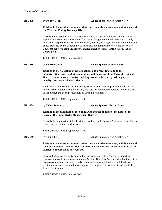| HB 3635        | by Robby Cook                                                                                                                                                                                                                                                                                                                                                                                                                                                                      | Senate Sponsor: Ken Armbrister                                                                                                                                                      |
|----------------|------------------------------------------------------------------------------------------------------------------------------------------------------------------------------------------------------------------------------------------------------------------------------------------------------------------------------------------------------------------------------------------------------------------------------------------------------------------------------------|-------------------------------------------------------------------------------------------------------------------------------------------------------------------------------------|
|                | Relating to the creation, administration, powers, duties, operation, and financing of<br>the Wharton County Drainage District.                                                                                                                                                                                                                                                                                                                                                     |                                                                                                                                                                                     |
|                | Creates the Wharton County Drainage District, is created in Wharton County, subject to<br>approval at a confirmation election. The district is a governmental agency and a body<br>politic and corporate and has all of the rights, powers, privileges, authority, functions, and<br>duties provided by the general law of this state, including Chapters 49 and 56, Water<br>Code, applicable to drainage districts created under Section 59, Article XVI, Texas<br>Constitution. |                                                                                                                                                                                     |
|                | <b>EFFECTIVE DATE: June 16, 2001</b>                                                                                                                                                                                                                                                                                                                                                                                                                                               |                                                                                                                                                                                     |
| <b>HB</b> 3636 | by Charlie Geren                                                                                                                                                                                                                                                                                                                                                                                                                                                                   | <b>Senate Sponsor: Chris Harris</b>                                                                                                                                                 |
|                | Relating to the validation of certain actions and proceedings and to the<br>administration, powers, duties, operation, and financing of the Tarrant Regional<br>Water District, a Water Control and Improvement District; providing a civil<br>penalty; creating a criminal offense.                                                                                                                                                                                               |                                                                                                                                                                                     |
|                | of the district and court proceedings involving the district.                                                                                                                                                                                                                                                                                                                                                                                                                      | Modifies the name of the Tarrant County Water Control and Improvement District No. 1<br>to the Tarrant Regional Water District, and sets forth provisions relating to the authority |
|                | <b>EFFECTIVE DATE:</b> September 1, 2001                                                                                                                                                                                                                                                                                                                                                                                                                                           |                                                                                                                                                                                     |
| <b>HB</b> 3639 | by Debra Danburg                                                                                                                                                                                                                                                                                                                                                                                                                                                                   | <b>Senate Sponsor: Buster Brown</b>                                                                                                                                                 |
|                | Relating to the expansion of the boundaries and the number of members of the<br>board of the Upper Kirby Management District.                                                                                                                                                                                                                                                                                                                                                      |                                                                                                                                                                                     |
|                | Expands the boundaries of the district and authorizes the board of directors of the district<br>to increase the number of directors.                                                                                                                                                                                                                                                                                                                                               |                                                                                                                                                                                     |
|                | <b>EFFECTIVE DATE:</b> September 1, 2001                                                                                                                                                                                                                                                                                                                                                                                                                                           |                                                                                                                                                                                     |
| <b>HB</b> 3640 | by Tom Uher                                                                                                                                                                                                                                                                                                                                                                                                                                                                        | Senate Sponsor: Ken Armbrister                                                                                                                                                      |
|                | Relating to the creation, administration, powers, duties, operation, and financing of<br>the Coastal Plains Groundwater Conservation District and the authorization of the<br>district to impose an ad valorem tax.                                                                                                                                                                                                                                                                |                                                                                                                                                                                     |
|                | Creates the Coastal Plains Groundwater Conservation District (district), subject to<br>is a governmental agency and a body politic and corporate. Provides that the district is<br>created under and is essential to accomplish the purposes of Section 59, Article XVI,<br>Texas Constitution.                                                                                                                                                                                    | approval at a confirmation election under Section 10 of this Act. Provides that the district                                                                                        |
|                |                                                                                                                                                                                                                                                                                                                                                                                                                                                                                    |                                                                                                                                                                                     |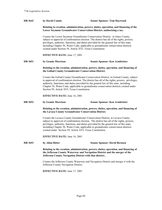| <b>HB</b> 3642 | by David Counts                                                                                                                                                                                                                                                                                                                                                                                                                                                                                                                                                                                                                   | <b>Senate Sponsor: Tom Haywood</b>    |  |
|----------------|-----------------------------------------------------------------------------------------------------------------------------------------------------------------------------------------------------------------------------------------------------------------------------------------------------------------------------------------------------------------------------------------------------------------------------------------------------------------------------------------------------------------------------------------------------------------------------------------------------------------------------------|---------------------------------------|--|
|                | Relating to creation, administration, powers, duties, operation, and financing of the<br>Lower Seymour Groundwater Conservation District; authorizing a tax.<br>Creates the Lower Seymour Groundwater Conservation District, in Jones County,<br>subject to approval of confirmation election. The district has all of the rights, powers,<br>privileges, authority, functions, and duties provided by the general law of this state,<br>including Chapter 36, Water Code, applicable to groundwater conservation districts<br>created under Section 59, Article XVI, Texas Constitution.<br><b>EFFECTIVE DATE: June 17, 2001</b> |                                       |  |
|                |                                                                                                                                                                                                                                                                                                                                                                                                                                                                                                                                                                                                                                   |                                       |  |
|                |                                                                                                                                                                                                                                                                                                                                                                                                                                                                                                                                                                                                                                   |                                       |  |
| <b>HB</b> 3651 | by Geanie Morrison                                                                                                                                                                                                                                                                                                                                                                                                                                                                                                                                                                                                                | Senate Sponsor: Ken Armbrister        |  |
|                | Relating to the creation, administration, powers, duties, operation, and financing of<br>the Goliad County Groundwater Conservation District.<br>Creates the Goliad County Groundwater Conservation District, in Goliad County, subject<br>to approval of confirmation election. The district has all of the rights, powers, privileges,<br>authority, functions, and duties provided by the general law of this state, including<br>Chapter 36, Water Code, applicable to groundwater conservation districts created under<br>Section 59, Article XVI, Texas Constitution.                                                       |                                       |  |
|                |                                                                                                                                                                                                                                                                                                                                                                                                                                                                                                                                                                                                                                   |                                       |  |
|                | <b>EFFECTIVE DATE: June 16, 2001</b>                                                                                                                                                                                                                                                                                                                                                                                                                                                                                                                                                                                              |                                       |  |
| HB 3652        | by Geanie Morrison                                                                                                                                                                                                                                                                                                                                                                                                                                                                                                                                                                                                                | <b>Senate Sponsor: Ken Armbrister</b> |  |
|                | Relating to the creation, administration, powers, duties, operation, and financing of<br>the Lavaca County Groundwater Conservation District.<br>Creates the Lavaca County Groundwater Conservation District, in Lavaca County,<br>subject to approval of confirmation election. The district has all of the rights, powers,<br>privileges, authority, functions, and duties provided by the general law of this state,<br>including Chapter 36, Water Code, applicable to groundwater conservation districts<br>created under Section 59, Article XVI, Texas Constitution.                                                       |                                       |  |
|                |                                                                                                                                                                                                                                                                                                                                                                                                                                                                                                                                                                                                                                   |                                       |  |
|                | <b>EFFECTIVE DATE: June 16, 2001</b>                                                                                                                                                                                                                                                                                                                                                                                                                                                                                                                                                                                              |                                       |  |
| <b>HB</b> 3653 | by Allan Ritter                                                                                                                                                                                                                                                                                                                                                                                                                                                                                                                                                                                                                   | <b>Senate Sponsor: David Bernsen</b>  |  |
|                | Relating to the creation, administration, powers, duties, operation, and financing of<br>the Jefferson County Waterway and Navigation District and the merger of the<br>Jefferson County Navigation District with that district                                                                                                                                                                                                                                                                                                                                                                                                   |                                       |  |
|                | Creates the Jefferson County Waterway and Navigation District and merges it with the<br>Jefferson County Navigation District.                                                                                                                                                                                                                                                                                                                                                                                                                                                                                                     |                                       |  |
|                | <b>EFFECTIVE DATE: June 17, 2001</b>                                                                                                                                                                                                                                                                                                                                                                                                                                                                                                                                                                                              |                                       |  |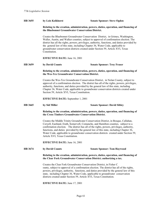# **HB 3655 by Lois Kolkhorst Senate Sponsor: Steve Ogden Relating to the creation, administration, powers, duties, operation, and financing of the Bluebonnet Groundwater Conservation District.** Creates the Bluebonnet Groundwater Conservation District, in Grimes, Washington, Waller, Austin, and Walker counties, subject to approval of confirmation election. The district has all the rights, powers, privileges, authority, functions, and duties provided by the general law of this state, including Chapter 36, Water Code, applicable to groundwater conservation districts created under Section 59, Article XVI, Texas Constitution. **EFFECTIVE DATE:** June 16, 2001 **HB 3659 by David Counts Senate Sponsor: Troy Fraser Relating to the creation, administration, powers, duties, operation, and financing of the Wes-Tex Groundwater Conservation District.** Creates the Wes-Tex Groundwater Conservation District, in Nolan County, subject to approval of a confirmation election. The district has all of the rights, powers, privileges, authority, functions, and duties provided by the general law of this state, including Chapter 36, Water Code, applicable to groundwater conservation districts created under Section 59, Article XVI, Texas Constitution. **EFFECTIVE DATE:** September 1, 2001 **HB 3665 by Sid Miller Senate Sponsor: David Sibley Relating to the creation, administration, powers, duties, operation, and financing of the Cross Timbers Groundwater Conservation District.** Creates the Middle Trinity Groundwater Conservation District, in Bosque, Callahan, Coryell, Eastland, Erath, Somervell, Comanche, and Hamilton counties, subject to a confirmation election. The district has all of the rights, powers, privileges, authority, functions, and duties provided by the general law of this state, including Chapter 36, Water Code, applicable to groundwater conservation districts created under Section 59, Article XVI, Texas Constitution. **EFFECTIVE DATE:** June 16, 2001 **HB 3674** by David Counts Senate Sponsor: Tom Haywood **Relating to the creation, administration, powers, duties, operation, and financing of the Clear Fork Groundwater Conservation District; authorizing a tax.** Creates the Clear Fork Groundwater Conservation District, in Fisher C ounty, subject to approval of a confirmation election. The district has all of the rights, powers, privileges, authority, functions, and duties provided by the general law of this state, including Chapter 36, Water Code, applicable to groundwater conservation districts created under Section 59, Article XVI, Texas Constitution.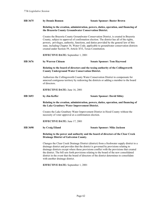| HB 3675        | by Dennis Bonnen                                                                                                                                                                                                                                                                                                                                                                                                                                                                                                                                                | <b>Senate Sponsor: Buster Brown</b> |  |
|----------------|-----------------------------------------------------------------------------------------------------------------------------------------------------------------------------------------------------------------------------------------------------------------------------------------------------------------------------------------------------------------------------------------------------------------------------------------------------------------------------------------------------------------------------------------------------------------|-------------------------------------|--|
|                | Relating to the creation, administration, powers, duties, operation, and financing of<br>the Brazoria County Groundwater Conservation District.                                                                                                                                                                                                                                                                                                                                                                                                                 |                                     |  |
|                | Creates the Brazoria County Groundwater Conservation District, is created in Brazoria<br>County, subject to approval of confirmation election. The district has all of the rights,<br>powers, privileges, authority, functions, and duties provided by the general law of this<br>state, including Chapter 36, Water Code, applicable to groundwater conservation districts<br>created under Section 59, Article XVI, Texas Constitution.<br><b>EFFECTIVE DATE:</b> September 1, 2001                                                                           |                                     |  |
|                |                                                                                                                                                                                                                                                                                                                                                                                                                                                                                                                                                                 |                                     |  |
| HB 3676        | by Warren Chisum                                                                                                                                                                                                                                                                                                                                                                                                                                                                                                                                                | <b>Senate Sponsor: Tom Haywood</b>  |  |
|                | Relating to the board of directors and the taxing authority of the Collingsworth<br><b>County Underground Water Conservation District.</b>                                                                                                                                                                                                                                                                                                                                                                                                                      |                                     |  |
|                | Authorizes the Collingsworth County Water Conservation District to compensate for<br>annexed contiguous territory by redrawing the districts or adding a member to the board<br>of directors.                                                                                                                                                                                                                                                                                                                                                                   |                                     |  |
|                | <b>EFFECTIVE DATE: June 16, 2001</b>                                                                                                                                                                                                                                                                                                                                                                                                                                                                                                                            |                                     |  |
| HB 3693        | by Jim Keffer                                                                                                                                                                                                                                                                                                                                                                                                                                                                                                                                                   | <b>Senate Sponsor: David Sibley</b> |  |
|                | Relating to the creation, administration, powers, duties, operation, and financing of<br>the Lake Granbury Water Improvement District.                                                                                                                                                                                                                                                                                                                                                                                                                          |                                     |  |
|                | Creates the Lake Granbury Water Improvement District in Hood County without the<br>necessity of voter approval at a confirmation election.                                                                                                                                                                                                                                                                                                                                                                                                                      |                                     |  |
|                | <b>EFFECTIVE DATE: June 17, 2001</b>                                                                                                                                                                                                                                                                                                                                                                                                                                                                                                                            |                                     |  |
| <b>HB</b> 3698 | by Craig Eiland                                                                                                                                                                                                                                                                                                                                                                                                                                                                                                                                                 | <b>Senate Sponsor: Mike Jackson</b> |  |
|                | Relating to the power and authority and the board of directors of the Clear Creek<br><b>Drainage District of Galveston County.</b>                                                                                                                                                                                                                                                                                                                                                                                                                              |                                     |  |
|                | Changes the Clear Creek Drainage District (district) from a freshwater supply district to a<br>drainage district and provides that the district is governed by provisions relating to<br>drainage districts except where those provisions conflict with the provisions that created<br>the district. The bill sets forth provisions relating to the board of the new consolidated<br>district in the event that the board of directors of the district determines to consolidate<br>with another drainage district.<br><b>EFFECTIVE DATE:</b> September 1, 2001 |                                     |  |
|                |                                                                                                                                                                                                                                                                                                                                                                                                                                                                                                                                                                 |                                     |  |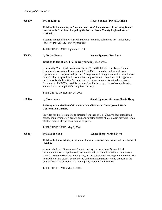| <b>SB 270</b> | by Jon Lindsay                                                                                                                                                                                                                                                                                                                                                                                                                                                                                                                                                                     | <b>House Sponsor: David Swinford</b> |  |
|---------------|------------------------------------------------------------------------------------------------------------------------------------------------------------------------------------------------------------------------------------------------------------------------------------------------------------------------------------------------------------------------------------------------------------------------------------------------------------------------------------------------------------------------------------------------------------------------------------|--------------------------------------|--|
|               | Relating to the meaning of "agricultural crop" for purposes of the exemption of<br>certain wells from fees charged by the North Harris County Regional Water<br>Authority.<br>Expands the definition of "agricultural crop" and adds definitions for "florist item,"<br>"nursery grower," and "nursery product."<br><b>EFFECTIVE DATE:</b> September 1, 2001                                                                                                                                                                                                                       |                                      |  |
|               |                                                                                                                                                                                                                                                                                                                                                                                                                                                                                                                                                                                    |                                      |  |
|               |                                                                                                                                                                                                                                                                                                                                                                                                                                                                                                                                                                                    |                                      |  |
| <b>SB</b> 324 | by Buster Brown                                                                                                                                                                                                                                                                                                                                                                                                                                                                                                                                                                    | <b>Senate Sponsor: Ron Lewis</b>     |  |
|               | Relating to fees charged for underground injection wells.                                                                                                                                                                                                                                                                                                                                                                                                                                                                                                                          |                                      |  |
|               | Amends the Water Code to increase, from \$25 to \$100, the fee the Texas Natural<br>Resource Conservation Commission (TNRCC) is required to collect with each<br>application for a disposal well permit. Also provides that applications for hazardous or<br>nonhazardous disposal well permits shall be processed in accordance with applicable<br>provisions for the benefit of the state and the preservation of its natural resources.<br>Requires the TNRCC to establish a procedure for the preparation of comprehensive<br>summaries of the applicant's compliance history. |                                      |  |
|               | <b>EFFECTIVE DATE:</b> May 26, 2001                                                                                                                                                                                                                                                                                                                                                                                                                                                                                                                                                |                                      |  |
| <b>SB 404</b> | by Troy Fraser                                                                                                                                                                                                                                                                                                                                                                                                                                                                                                                                                                     | Senate Sponsor: Suzanna Gratia Hupp  |  |
|               | Relating to the election of directors of the Clearwater Underground Water<br><b>Conservation District.</b>                                                                                                                                                                                                                                                                                                                                                                                                                                                                         |                                      |  |
|               | Provides for the election of one director from each of Bell County's four established<br>county commissioners' precincts and one director elected at large. Also provides for an<br>election date in May in even-numbered years.                                                                                                                                                                                                                                                                                                                                                   |                                      |  |
|               | <b>EFFECTIVE DATE:</b> May 2, 2001                                                                                                                                                                                                                                                                                                                                                                                                                                                                                                                                                 |                                      |  |
| <b>SB 417</b> | by Mike Jackson                                                                                                                                                                                                                                                                                                                                                                                                                                                                                                                                                                    | <b>Senate Sponsor: Fred Bosse</b>    |  |
|               | Relating to the creation, powers, and boundaries of certain municipal development<br>districts.                                                                                                                                                                                                                                                                                                                                                                                                                                                                                    |                                      |  |
|               | Amends the Local Government Code to modify the provisions for municipal<br>development districts applies only to a municipality that is located in more than one<br>county Also authorizes the municipality, on the question of creating a municipal district,<br>to provide for the district boundaries to conform automatically to any changes in the<br>boundaries of the portion of the municipality included in the district.                                                                                                                                                 |                                      |  |
|               | <b>EFFECTIVE DATE:</b> May 1, 2001                                                                                                                                                                                                                                                                                                                                                                                                                                                                                                                                                 |                                      |  |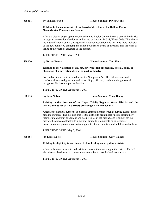| <b>SB 611</b> | by Tom Haywood                                                                                                                                                                                                                                                                                                                                                                                                                                                                                                                                             | <b>House Sponsor: David Counts</b>                                                                                                                                                                                                                                                                                                                                                                                                                                |  |  |
|---------------|------------------------------------------------------------------------------------------------------------------------------------------------------------------------------------------------------------------------------------------------------------------------------------------------------------------------------------------------------------------------------------------------------------------------------------------------------------------------------------------------------------------------------------------------------------|-------------------------------------------------------------------------------------------------------------------------------------------------------------------------------------------------------------------------------------------------------------------------------------------------------------------------------------------------------------------------------------------------------------------------------------------------------------------|--|--|
|               | Relating to the membership of the board of directors of the Rolling Plains<br><b>Groundwater Conservation District.</b><br>After the district began operation, the adjoining Baylor County became part of the district<br>through an annexation election as authorized by Section 36.328, Water Code. This allows<br>the Haskell/Knox County Underground Water Conservation District to be more inclusive<br>of the new county by changing the name, boundaries, board of directors, and the terms of<br>office of the board of directors of the district. |                                                                                                                                                                                                                                                                                                                                                                                                                                                                   |  |  |
|               |                                                                                                                                                                                                                                                                                                                                                                                                                                                                                                                                                            |                                                                                                                                                                                                                                                                                                                                                                                                                                                                   |  |  |
|               | <b>EFFECTIVE DATE:</b> May 3, 2001                                                                                                                                                                                                                                                                                                                                                                                                                                                                                                                         |                                                                                                                                                                                                                                                                                                                                                                                                                                                                   |  |  |
| <b>SB 670</b> | by Buster Brown                                                                                                                                                                                                                                                                                                                                                                                                                                                                                                                                            | <b>House Sponsor: Tom Uher</b>                                                                                                                                                                                                                                                                                                                                                                                                                                    |  |  |
|               |                                                                                                                                                                                                                                                                                                                                                                                                                                                                                                                                                            | Relating to the validation of any act, governmental proceeding, official, bond, or<br>obligation of a navigation district or port authority.                                                                                                                                                                                                                                                                                                                      |  |  |
|               |                                                                                                                                                                                                                                                                                                                                                                                                                                                                                                                                                            | Port authorities are not included under the Navigation Act. This bill validates and<br>confirms all acts and governmental proceedings, officials, bonds and obligations of<br>navigation districts and port authorities.                                                                                                                                                                                                                                          |  |  |
|               | <b>EFFECTIVE DATE:</b> September 1, 2001                                                                                                                                                                                                                                                                                                                                                                                                                                                                                                                   |                                                                                                                                                                                                                                                                                                                                                                                                                                                                   |  |  |
| <b>SB 835</b> | by Jane Nelson                                                                                                                                                                                                                                                                                                                                                                                                                                                                                                                                             | <b>House Sponsor: Mary Denny</b>                                                                                                                                                                                                                                                                                                                                                                                                                                  |  |  |
|               | Relating to the directors of the Upper Trinity Regional Water District and the<br>powers and duties of the district; providing a criminal penalty.                                                                                                                                                                                                                                                                                                                                                                                                         |                                                                                                                                                                                                                                                                                                                                                                                                                                                                   |  |  |
|               |                                                                                                                                                                                                                                                                                                                                                                                                                                                                                                                                                            | Amends the district's authority to exercise eminent domain when acquiring easements for<br>pipeline purposes. The bill also enables the district to promulgate rules regarding new<br>member membership conditions and voting rights in the district, and it authorizes the<br>district, through a contract with a member entity, to promulgate rules regarding<br>preservation and protection of water supply, treatment facilities, and solid waste facilities. |  |  |
|               | <b>EFFECTIVE DATE:</b> May 3, 2001                                                                                                                                                                                                                                                                                                                                                                                                                                                                                                                         |                                                                                                                                                                                                                                                                                                                                                                                                                                                                   |  |  |
| <b>SB 884</b> | by Eddie Lucio                                                                                                                                                                                                                                                                                                                                                                                                                                                                                                                                             | <b>House Sponsor: Gary Walker</b>                                                                                                                                                                                                                                                                                                                                                                                                                                 |  |  |
|               | Relating to eligibility to vote in an election held by an irrigation district.                                                                                                                                                                                                                                                                                                                                                                                                                                                                             |                                                                                                                                                                                                                                                                                                                                                                                                                                                                   |  |  |
|               | Allows a landowner to vote in district elections without residing in the district. The bill<br>also allows a landowner to choose a representative to cast the landowner's vote.                                                                                                                                                                                                                                                                                                                                                                            |                                                                                                                                                                                                                                                                                                                                                                                                                                                                   |  |  |
|               |                                                                                                                                                                                                                                                                                                                                                                                                                                                                                                                                                            | <b>EFFECTIVE DATE:</b> September 1, 2001                                                                                                                                                                                                                                                                                                                                                                                                                          |  |  |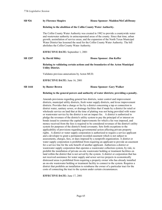| <b>SB</b> 926  | by Florence Shapiro                                                                                                                                                                                                                                                                                                                                                                                                                                        | <b>House Sponsor: Madden/McCall/Denny</b> |  |
|----------------|------------------------------------------------------------------------------------------------------------------------------------------------------------------------------------------------------------------------------------------------------------------------------------------------------------------------------------------------------------------------------------------------------------------------------------------------------------|-------------------------------------------|--|
|                | Relating to the abolition of the Collin County Water Authority.                                                                                                                                                                                                                                                                                                                                                                                            |                                           |  |
|                | The Collin County Water Authority was created in 1982 to provide a countywide water<br>and wastewater authority in unincorporated areas of the county. Since that time, urban<br>growth, assimilation of service areas, and the expansion of the North Texas Municipal<br>Water District has lessened the need for the Collin County Water Authority. The bill<br>abolishes the Collin County Water Authority.<br><b>EFFECTIVE DATE:</b> September 1, 2001 |                                           |  |
|                |                                                                                                                                                                                                                                                                                                                                                                                                                                                            |                                           |  |
| <b>SB 1207</b> | by David Sibley                                                                                                                                                                                                                                                                                                                                                                                                                                            | <b>House Sponsor: Jim Keffer</b>          |  |
|                | Relating to validating certain actions and the boundaries of the Acton Municipal<br><b>Utility District.</b><br>Validates previous annexations by Acton MUD.                                                                                                                                                                                                                                                                                               |                                           |  |
|                |                                                                                                                                                                                                                                                                                                                                                                                                                                                            |                                           |  |
|                | <b>EFFECTIVE DATE: June 16, 2001</b>                                                                                                                                                                                                                                                                                                                                                                                                                       |                                           |  |
| <b>SB 1444</b> | by Buster Brown                                                                                                                                                                                                                                                                                                                                                                                                                                            | <b>House Sponsor: Gary Walker</b>         |  |
|                | Relating to the general powers and authority of water districts; providing a penalty.                                                                                                                                                                                                                                                                                                                                                                      |                                           |  |

Amends provisions regarding general law districts, water control and improvement districts, municipal utility districts, fresh water supply districts, and levee improvement districts. Provides that a charge or fee by a district concerning a tap or connection to district water, sanitary sewer, or drainage facilities that if made by a district for retail or wholesale service on land that at the time of platting was not being provided with water or wastewater service by the district is not an impact fee. A district is authorized to pledge the revenues of the district's utility system to pay the principal of or interest on bonds issued to construct the capital improvements for which a fee was imposed, and money received from the fees is required to be considered revenues of the district's utility system for purposes of the district's bond covenants. Sets forth exceptions to the applicability of provisions regarding governmental action affecting private property rights. A district or water supply corporation is authorized to require a service applicant and a developer to grant a permanent recorded easement which is not subject to assessments, charges, fees, or dues imposed by a nonprofit organization. A district or water supply corporation is prohibited from requiring an applicant to provide an easement for a service line for the sole benefit of another applicant. Authorizes a district or wastewater supply corporation that operates a wastewater collection system, by rule, to prohibit the installation of private on-site wastewater holding or treatment facilities on land within the district that is not served by the system. A district or corporation that has not received assistance for water supply and sewer service projects in economically distressed areas is prohibited from requiring a property owner who has already installed an on-site wastewater holding or treatment facility to connect to the system. Requires a district that prohibits an installation to reimburse the owner of a particular tract for the costs of connecting the tract to the system under certain circumstances.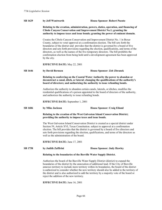## **SB 1629** by Jeff Wentworth **House Sponsor: Robert Puente Relating to the creation, administration, powers, duties, operation, and financing of Cibolo Canyon Conservation and Improvement District No.1; granting the authority to impose taxes and issue bonds; granting the power of eminent domain.** Creates the Cibolo Canyon Conservation and Improvement District No. 1 in Bexar County, subject to voter approval at a confirmation election. The bill sets forth the boundaries of the district and provides that the district is governed by a board of five directors and sets forth provisions regarding the election, qualifications, and terms of the directors, as well as the names of the five temporary directors. The bill prohibits the confirmation election from being held until a development agreement has been approved by the city. **EFFECTIVE DATE:** May 22, 2001 **SB 1646 by David Bernsen House Sponsor: Zeb Zbranek Relating to conferring on the Coastal Water Authority the power to abandon or deconstruct a canal, ditch, or lateral; changing the qualifications of the authority's board of directors; and authorizing the authority to issue refunding bonds.** Authorizes the authority to abandon certain canals, laterals, or ditches, modifies the residential qualifications of a person appointed to the board of directors of the authority, and authorizes the authority to issue refunding bonds. **EFFECTIVE DATE:** September 1, 2001 **SB 1686 by Mike Jackson House Sponsor: Craig Eiland Relating to the creation of the West Galveston Island Conservation District; providing the authority to impose taxes and issue bonds.** The West Galveston Island Conservation District is created as a special district under Section 59, Article XVI, Texas Constitution. subject to approval at a confirmation election. The bill provides that the district is governed by a board of five directors and sets forth provisions regarding the election, qualifications, and terms of the directors as well as the administration of the board. **EFFECTIVE DATE:** June 17, 2001 **SB 1758** by Judith Zaffirini **House Sponsor: Judy Hawley Relating to the boundaries of the Beeville Water Supply District.** Authorizes the board of the Beeville Water Supply District (district) to expand the boundaries of the district by the annexation of additional land. If the City of Beeville annexes territory to include more territory within its boundaries, the board of the district is authorized to consider whether the new territory should also be added to the territory of the district and is also authorized to add the territory by a majority vote of the board or reject the addition of the new territory.

**EFFECTIVE DATE:** June 16, 2001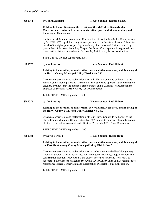| <b>SB</b> 1764 | by Judith Zaffirini                                                                                                                                                                                                                                                                                                                                                                                                                                                        | <b>House Sponsor: Ignacio Salinas</b> |
|----------------|----------------------------------------------------------------------------------------------------------------------------------------------------------------------------------------------------------------------------------------------------------------------------------------------------------------------------------------------------------------------------------------------------------------------------------------------------------------------------|---------------------------------------|
|                | Relating to the ratification of the creation of the McMullen Groundwater<br>Conservation District and to the administration, powers, duties, operation, and<br>financing of the district.                                                                                                                                                                                                                                                                                  |                                       |
|                | Ratifies the McMullen Groundwater Conservation District in McMullen County created<br>by SB 1911, 75 <sup>th</sup> Legislature, subject to approval at a confirmation election. The district<br>has all of the rights, powers, privileges, authority, functions, and duties provided by the<br>general law of this state, including Chapter 36, Water Code, applicable to groundwater<br>conservation districts created under Section 59, Article XVI, Texas Constitution. |                                       |
|                | <b>EFFECTIVE DATE:</b> September1, 2001                                                                                                                                                                                                                                                                                                                                                                                                                                    |                                       |
| <b>SB 1775</b> | by Jon Lindsay                                                                                                                                                                                                                                                                                                                                                                                                                                                             | <b>House Sponsor: Paul Hilbert</b>    |
|                | Relating to the creation, administration, powers, duties, operation, and financing of<br>the Harris County Municipal Utility District No. 386.                                                                                                                                                                                                                                                                                                                             |                                       |
|                | Creates a conservation and reclamation district in Harris County, to be known as the<br>Harris County Municipal Utility District No. 386, subject to approval at a confirmation<br>election. Provides that the district is created under and is essential to accomplish the<br>purposes of Section 59, Article XVI, Texas Constitution.                                                                                                                                    |                                       |
|                | <b>EFFECTIVE DATE:</b> September 1, 2001                                                                                                                                                                                                                                                                                                                                                                                                                                   |                                       |
| <b>SB</b> 1776 | by Jon Lindsay                                                                                                                                                                                                                                                                                                                                                                                                                                                             | <b>House Sponsor: Paul Hilbert</b>    |
|                | Relating to the creation, administration, powers, duties, operation, and financing of<br>the Harris County Municipal Utility District No. 387.                                                                                                                                                                                                                                                                                                                             |                                       |
|                | Creates a conservation and reclamation district in Harris County, to be known as the<br>Harris County Municipal Utility District No. 387, subject to approval at a confirmation<br>election. The district is created under Section 59, Article XVI, Texas Constitution.                                                                                                                                                                                                    |                                       |
|                | <b>EFFECTIVE DATE:</b> September 1, 2001                                                                                                                                                                                                                                                                                                                                                                                                                                   |                                       |
| SB 1784        | by David Bernsen                                                                                                                                                                                                                                                                                                                                                                                                                                                           | <b>House Sponsor: Ruben Hope</b>      |
|                | Relating to the creation, administration, powers, duties, operation, and financing of<br>the East Montgomery County Municipal Utility District No. 3.                                                                                                                                                                                                                                                                                                                      |                                       |
|                | Creates a conservation and reclamation district, to be known as the East Montgomery<br>County Municipal Utility District No. 3, in Montgomery County, subject to approval at a<br>confirmation election. Provides that the district is created under and is essential to<br>accomplish the purposes of Section 59, Article XVI (Conservation and Development of<br>Natural Resources; Conservation and Reclamation Districts), Texas Constitution.                         |                                       |
|                | EFFECTIVE DATE: September 1, 2001                                                                                                                                                                                                                                                                                                                                                                                                                                          |                                       |